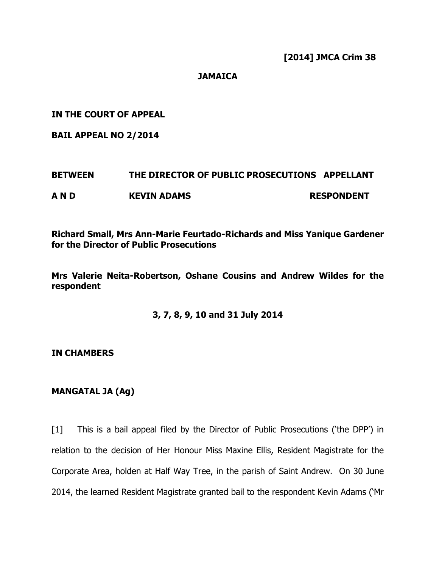**JAMAICA** 

IN THE COURT OF APPEAL

BAIL APPEAL NO 2/2014

# BETWEEN THE DIRECTOR OF PUBLIC PROSECUTIONS APPELLANT A N D KEVIN ADAMS RESPONDENT

Richard Small, Mrs Ann-Marie Feurtado-Richards and Miss Yanique Gardener for the Director of Public Prosecutions

Mrs Valerie Neita-Robertson, Oshane Cousins and Andrew Wildes for the respondent

3, 7, 8, 9, 10 and 31 July 2014

IN CHAMBERS

# MANGATAL JA (Ag)

[1] This is a bail appeal filed by the Director of Public Prosecutions ('the DPP') in relation to the decision of Her Honour Miss Maxine Ellis, Resident Magistrate for the Corporate Area, holden at Half Way Tree, in the parish of Saint Andrew. On 30 June 2014, the learned Resident Magistrate granted bail to the respondent Kevin Adams ('Mr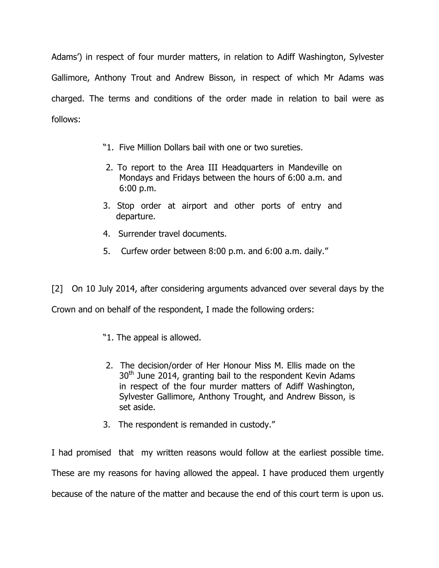Adams') in respect of four murder matters, in relation to Adiff Washington, Sylvester Gallimore, Anthony Trout and Andrew Bisson, in respect of which Mr Adams was charged. The terms and conditions of the order made in relation to bail were as follows:

- "1. Five Million Dollars bail with one or two sureties.
- 2. To report to the Area III Headquarters in Mandeville on Mondays and Fridays between the hours of 6:00 a.m. and 6:00 p.m.
- 3. Stop order at airport and other ports of entry and departure.
- 4. Surrender travel documents.
- 5. Curfew order between 8:00 p.m. and 6:00 a.m. daily."

[2] On 10 July 2014, after considering arguments advanced over several days by the

Crown and on behalf of the respondent, I made the following orders:

- "1. The appeal is allowed.
- 2. The decision/order of Her Honour Miss M. Ellis made on the  $30<sup>th</sup>$  June 2014, granting bail to the respondent Kevin Adams in respect of the four murder matters of Adiff Washington, Sylvester Gallimore, Anthony Trought, and Andrew Bisson, is set aside.
- 3. The respondent is remanded in custody."

I had promised that my written reasons would follow at the earliest possible time. These are my reasons for having allowed the appeal. I have produced them urgently because of the nature of the matter and because the end of this court term is upon us.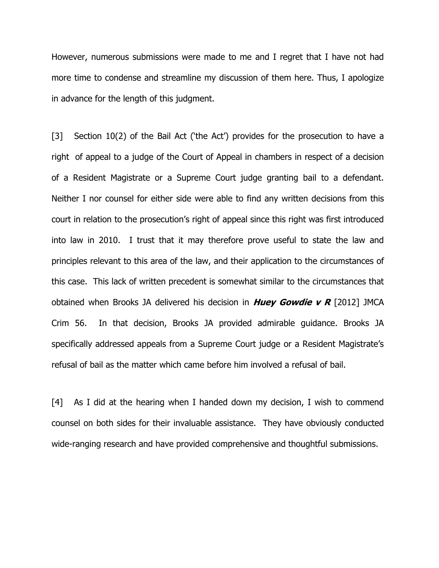However, numerous submissions were made to me and I regret that I have not had more time to condense and streamline my discussion of them here. Thus, I apologize in advance for the length of this judgment.

[3] Section 10(2) of the Bail Act ('the Act') provides for the prosecution to have a right of appeal to a judge of the Court of Appeal in chambers in respect of a decision of a Resident Magistrate or a Supreme Court judge granting bail to a defendant. Neither I nor counsel for either side were able to find any written decisions from this court in relation to the prosecution's right of appeal since this right was first introduced into law in 2010. I trust that it may therefore prove useful to state the law and principles relevant to this area of the law, and their application to the circumstances of this case. This lack of written precedent is somewhat similar to the circumstances that obtained when Brooks JA delivered his decision in **Huey Gowdie v R** [2012] JMCA Crim 56. In that decision, Brooks JA provided admirable guidance. Brooks JA specifically addressed appeals from a Supreme Court judge or a Resident Magistrate's refusal of bail as the matter which came before him involved a refusal of bail.

[4] As I did at the hearing when I handed down my decision, I wish to commend counsel on both sides for their invaluable assistance. They have obviously conducted wide-ranging research and have provided comprehensive and thoughtful submissions.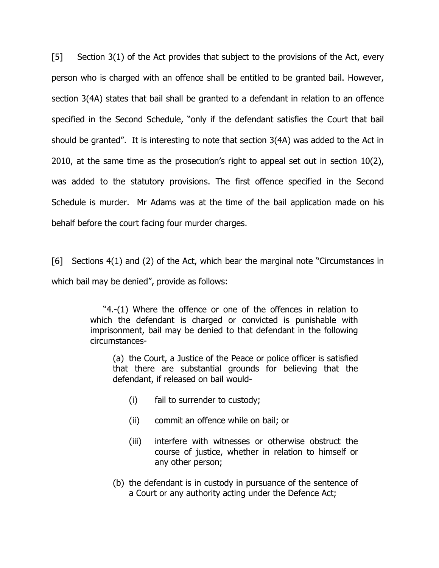$[5]$  Section 3(1) of the Act provides that subject to the provisions of the Act, every person who is charged with an offence shall be entitled to be granted bail. However, section 3(4A) states that bail shall be granted to a defendant in relation to an offence specified in the Second Schedule, "only if the defendant satisfies the Court that bail should be granted". It is interesting to note that section 3(4A) was added to the Act in 2010, at the same time as the prosecution's right to appeal set out in section 10(2), was added to the statutory provisions. The first offence specified in the Second Schedule is murder. Mr Adams was at the time of the bail application made on his behalf before the court facing four murder charges.

[6] Sections 4(1) and (2) of the Act, which bear the marginal note "Circumstances in which bail may be denied", provide as follows:

> "4.-(1) Where the offence or one of the offences in relation to which the defendant is charged or convicted is punishable with imprisonment, bail may be denied to that defendant in the following circumstances-

(a) the Court, a Justice of the Peace or police officer is satisfied that there are substantial grounds for believing that the defendant, if released on bail would-

- (i) fail to surrender to custody;
- (ii) commit an offence while on bail; or
- (iii) interfere with witnesses or otherwise obstruct the course of justice, whether in relation to himself or any other person;
- (b) the defendant is in custody in pursuance of the sentence of a Court or any authority acting under the Defence Act;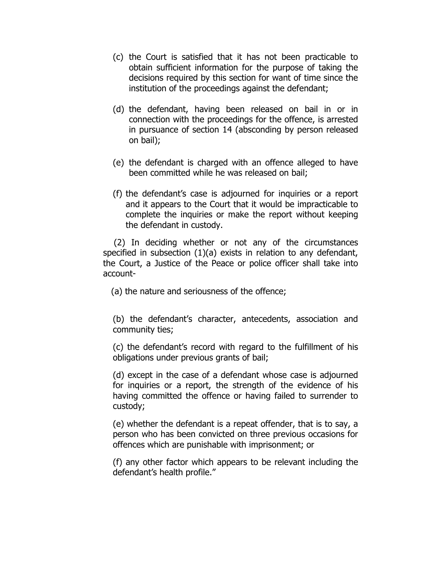- (c) the Court is satisfied that it has not been practicable to obtain sufficient information for the purpose of taking the decisions required by this section for want of time since the institution of the proceedings against the defendant;
- (d) the defendant, having been released on bail in or in connection with the proceedings for the offence, is arrested in pursuance of section 14 (absconding by person released on bail);
- (e) the defendant is charged with an offence alleged to have been committed while he was released on bail;
- (f) the defendant's case is adjourned for inquiries or a report and it appears to the Court that it would be impracticable to complete the inquiries or make the report without keeping the defendant in custody.

 (2) In deciding whether or not any of the circumstances specified in subsection (1)(a) exists in relation to any defendant, the Court, a Justice of the Peace or police officer shall take into account-

(a) the nature and seriousness of the offence;

(b) the defendant's character, antecedents, association and community ties;

(c) the defendant's record with regard to the fulfillment of his obligations under previous grants of bail;

(d) except in the case of a defendant whose case is adjourned for inquiries or a report, the strength of the evidence of his having committed the offence or having failed to surrender to custody;

(e) whether the defendant is a repeat offender, that is to say, a person who has been convicted on three previous occasions for offences which are punishable with imprisonment; or

(f) any other factor which appears to be relevant including the defendant's health profile."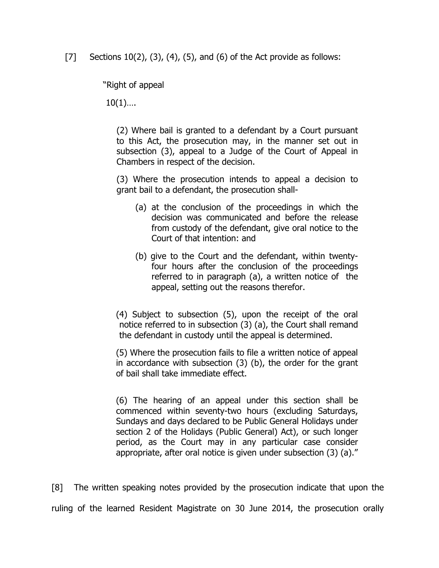"Right of appeal

 $10(1)...$ 

(2) Where bail is granted to a defendant by a Court pursuant to this Act, the prosecution may, in the manner set out in subsection (3), appeal to a Judge of the Court of Appeal in Chambers in respect of the decision.

(3) Where the prosecution intends to appeal a decision to grant bail to a defendant, the prosecution shall-

- (a) at the conclusion of the proceedings in which the decision was communicated and before the release from custody of the defendant, give oral notice to the Court of that intention: and
- (b) give to the Court and the defendant, within twentyfour hours after the conclusion of the proceedings referred to in paragraph (a), a written notice of the appeal, setting out the reasons therefor.

(4) Subject to subsection (5), upon the receipt of the oral notice referred to in subsection (3) (a), the Court shall remand the defendant in custody until the appeal is determined.

(5) Where the prosecution fails to file a written notice of appeal in accordance with subsection (3) (b), the order for the grant of bail shall take immediate effect.

(6) The hearing of an appeal under this section shall be commenced within seventy-two hours (excluding Saturdays, Sundays and days declared to be Public General Holidays under section 2 of the Holidays (Public General) Act), or such longer period, as the Court may in any particular case consider appropriate, after oral notice is given under subsection (3) (a)."

[8] The written speaking notes provided by the prosecution indicate that upon the ruling of the learned Resident Magistrate on 30 June 2014, the prosecution orally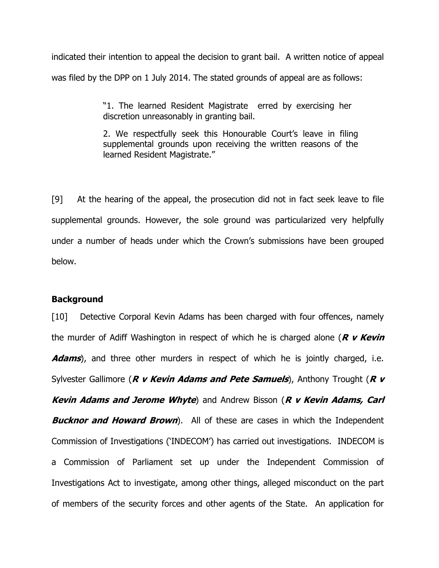indicated their intention to appeal the decision to grant bail. A written notice of appeal was filed by the DPP on 1 July 2014. The stated grounds of appeal are as follows:

> "1. The learned Resident Magistrate erred by exercising her discretion unreasonably in granting bail.

2. We respectfully seek this Honourable Court's leave in filing supplemental grounds upon receiving the written reasons of the learned Resident Magistrate."

[9] At the hearing of the appeal, the prosecution did not in fact seek leave to file supplemental grounds. However, the sole ground was particularized very helpfully under a number of heads under which the Crown's submissions have been grouped below.

#### Background

[10] Detective Corporal Kevin Adams has been charged with four offences, namely the murder of Adiff Washington in respect of which he is charged alone ( $\boldsymbol{R}$  v Kevin **Adams**), and three other murders in respect of which he is jointly charged, i.e. Sylvester Gallimore ( $R$  v Kevin Adams and Pete Samuels), Anthony Trought ( $R$  v Kevin Adams and Jerome Whyte) and Andrew Bisson (R v Kevin Adams, Carl **Bucknor and Howard Brown**). All of these are cases in which the Independent Commission of Investigations ('INDECOM') has carried out investigations. INDECOM is a Commission of Parliament set up under the Independent Commission of Investigations Act to investigate, among other things, alleged misconduct on the part of members of the security forces and other agents of the State. An application for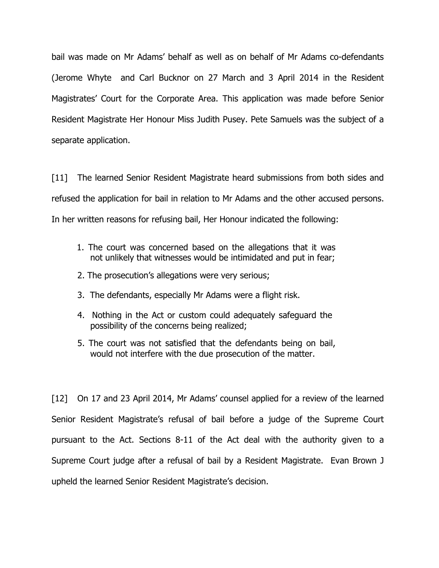bail was made on Mr Adams' behalf as well as on behalf of Mr Adams co-defendants (Jerome Whyte and Carl Bucknor on 27 March and 3 April 2014 in the Resident Magistrates' Court for the Corporate Area. This application was made before Senior Resident Magistrate Her Honour Miss Judith Pusey. Pete Samuels was the subject of a separate application.

[11] The learned Senior Resident Magistrate heard submissions from both sides and refused the application for bail in relation to Mr Adams and the other accused persons. In her written reasons for refusing bail, Her Honour indicated the following:

- 1. The court was concerned based on the allegations that it was not unlikely that witnesses would be intimidated and put in fear;
- 2. The prosecution's allegations were very serious;
- 3. The defendants, especially Mr Adams were a flight risk.
- 4. Nothing in the Act or custom could adequately safeguard the possibility of the concerns being realized;
- 5. The court was not satisfied that the defendants being on bail, would not interfere with the due prosecution of the matter.

[12] On 17 and 23 April 2014, Mr Adams' counsel applied for a review of the learned Senior Resident Magistrate's refusal of bail before a judge of the Supreme Court pursuant to the Act. Sections 8-11 of the Act deal with the authority given to a Supreme Court judge after a refusal of bail by a Resident Magistrate. Evan Brown J upheld the learned Senior Resident Magistrate's decision.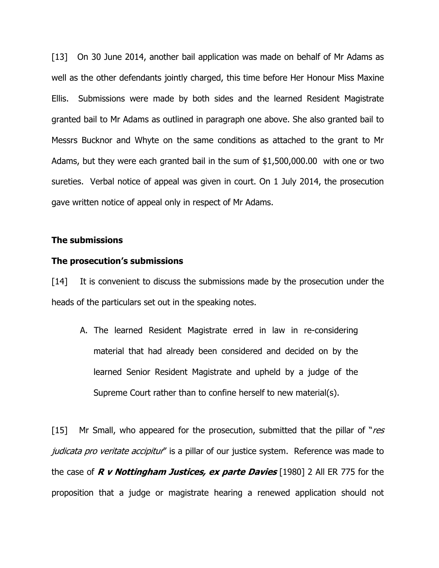[13] On 30 June 2014, another bail application was made on behalf of Mr Adams as well as the other defendants jointly charged, this time before Her Honour Miss Maxine Ellis. Submissions were made by both sides and the learned Resident Magistrate granted bail to Mr Adams as outlined in paragraph one above. She also granted bail to Messrs Bucknor and Whyte on the same conditions as attached to the grant to Mr Adams, but they were each granted bail in the sum of \$1,500,000.00 with one or two sureties. Verbal notice of appeal was given in court. On 1 July 2014, the prosecution gave written notice of appeal only in respect of Mr Adams.

#### The submissions

#### The prosecution's submissions

[14] It is convenient to discuss the submissions made by the prosecution under the heads of the particulars set out in the speaking notes.

 A. The learned Resident Magistrate erred in law in re-considering material that had already been considered and decided on by the learned Senior Resident Magistrate and upheld by a judge of the Supreme Court rather than to confine herself to new material(s).

[15] Mr Small, who appeared for the prosecution, submitted that the pillar of " $res$ judicata pro veritate accipitur" is a pillar of our justice system. Reference was made to the case of  $R$  v Nottingham Justices, ex parte Davies [1980] 2 All ER 775 for the proposition that a judge or magistrate hearing a renewed application should not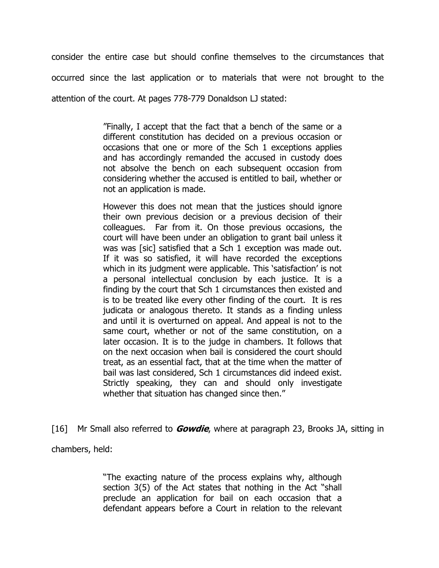consider the entire case but should confine themselves to the circumstances that occurred since the last application or to materials that were not brought to the attention of the court. At pages 778-779 Donaldson LJ stated:

> "Finally, I accept that the fact that a bench of the same or a different constitution has decided on a previous occasion or occasions that one or more of the Sch 1 exceptions applies and has accordingly remanded the accused in custody does not absolve the bench on each subsequent occasion from considering whether the accused is entitled to bail, whether or not an application is made.

> However this does not mean that the justices should ignore their own previous decision or a previous decision of their colleagues. Far from it. On those previous occasions, the court will have been under an obligation to grant bail unless it was was [sic] satisfied that a Sch 1 exception was made out. If it was so satisfied, it will have recorded the exceptions which in its judgment were applicable. This 'satisfaction' is not a personal intellectual conclusion by each justice. It is a finding by the court that Sch 1 circumstances then existed and is to be treated like every other finding of the court. It is res judicata or analogous thereto. It stands as a finding unless and until it is overturned on appeal. And appeal is not to the same court, whether or not of the same constitution, on a later occasion. It is to the judge in chambers. It follows that on the next occasion when bail is considered the court should treat, as an essential fact, that at the time when the matter of bail was last considered, Sch 1 circumstances did indeed exist. Strictly speaking, they can and should only investigate whether that situation has changed since then."

[16] Mr Small also referred to *Gowdie*, where at paragraph 23, Brooks JA, sitting in chambers, held:

> "The exacting nature of the process explains why, although section 3(5) of the Act states that nothing in the Act "shall preclude an application for bail on each occasion that a defendant appears before a Court in relation to the relevant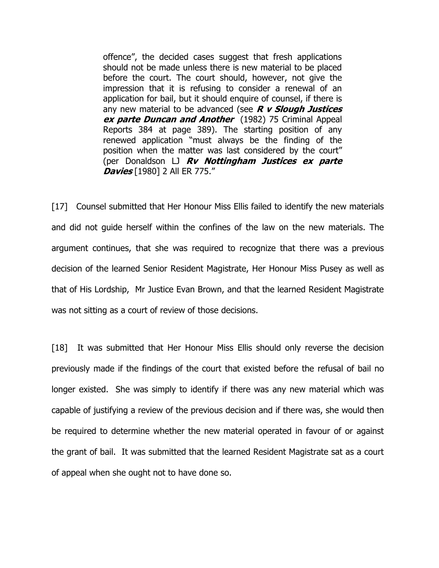offence", the decided cases suggest that fresh applications should not be made unless there is new material to be placed before the court. The court should, however, not give the impression that it is refusing to consider a renewal of an application for bail, but it should enquire of counsel, if there is any new material to be advanced (see  $R$   $\nu$  Slough Justices ex parte Duncan and Another (1982) 75 Criminal Appeal Reports 384 at page 389). The starting position of any renewed application "must always be the finding of the position when the matter was last considered by the court" (per Donaldson LJ Rv Nottingham Justices ex parte Davies [1980] 2 All ER 775."

[17] Counsel submitted that Her Honour Miss Ellis failed to identify the new materials and did not guide herself within the confines of the law on the new materials. The argument continues, that she was required to recognize that there was a previous decision of the learned Senior Resident Magistrate, Her Honour Miss Pusey as well as that of His Lordship, Mr Justice Evan Brown, and that the learned Resident Magistrate was not sitting as a court of review of those decisions.

[18] It was submitted that Her Honour Miss Ellis should only reverse the decision previously made if the findings of the court that existed before the refusal of bail no longer existed. She was simply to identify if there was any new material which was capable of justifying a review of the previous decision and if there was, she would then be required to determine whether the new material operated in favour of or against the grant of bail. It was submitted that the learned Resident Magistrate sat as a court of appeal when she ought not to have done so.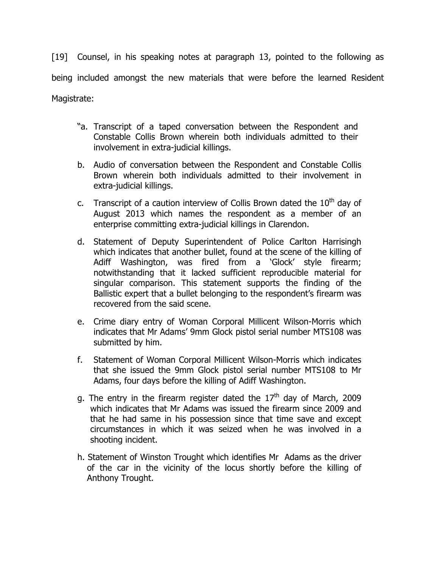[19] Counsel, in his speaking notes at paragraph 13, pointed to the following as being included amongst the new materials that were before the learned Resident Magistrate:

- "a. Transcript of a taped conversation between the Respondent and Constable Collis Brown wherein both individuals admitted to their involvement in extra-judicial killings.
- b. Audio of conversation between the Respondent and Constable Collis Brown wherein both individuals admitted to their involvement in extra-judicial killings.
- c. Transcript of a caution interview of Collis Brown dated the  $10<sup>th</sup>$  day of August 2013 which names the respondent as a member of an enterprise committing extra-judicial killings in Clarendon.
- d. Statement of Deputy Superintendent of Police Carlton Harrisingh which indicates that another bullet, found at the scene of the killing of Adiff Washington, was fired from a 'Glock' style firearm; notwithstanding that it lacked sufficient reproducible material for singular comparison. This statement supports the finding of the Ballistic expert that a bullet belonging to the respondent's firearm was recovered from the said scene.
- e. Crime diary entry of Woman Corporal Millicent Wilson-Morris which indicates that Mr Adams' 9mm Glock pistol serial number MTS108 was submitted by him.
- f. Statement of Woman Corporal Millicent Wilson-Morris which indicates that she issued the 9mm Glock pistol serial number MTS108 to Mr Adams, four days before the killing of Adiff Washington.
- g. The entry in the firearm register dated the  $17<sup>th</sup>$  day of March, 2009 which indicates that Mr Adams was issued the firearm since 2009 and that he had same in his possession since that time save and except circumstances in which it was seized when he was involved in a shooting incident.
- h. Statement of Winston Trought which identifies Mr Adams as the driver of the car in the vicinity of the locus shortly before the killing of Anthony Trought.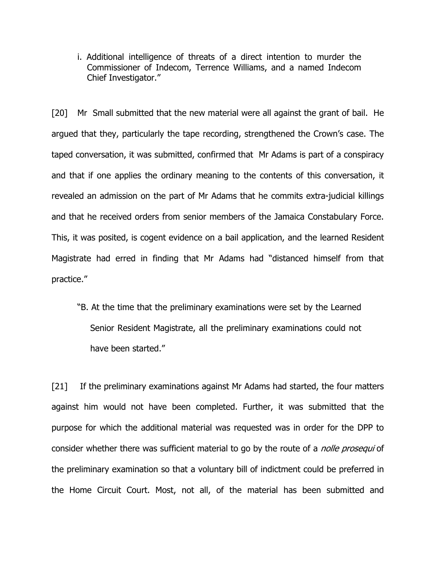i. Additional intelligence of threats of a direct intention to murder the Commissioner of Indecom, Terrence Williams, and a named Indecom Chief Investigator."

[20] Mr Small submitted that the new material were all against the grant of bail. He argued that they, particularly the tape recording, strengthened the Crown's case. The taped conversation, it was submitted, confirmed that Mr Adams is part of a conspiracy and that if one applies the ordinary meaning to the contents of this conversation, it revealed an admission on the part of Mr Adams that he commits extra-judicial killings and that he received orders from senior members of the Jamaica Constabulary Force. This, it was posited, is cogent evidence on a bail application, and the learned Resident Magistrate had erred in finding that Mr Adams had "distanced himself from that practice."

"B. At the time that the preliminary examinations were set by the Learned Senior Resident Magistrate, all the preliminary examinations could not have been started."

[21] If the preliminary examinations against Mr Adams had started, the four matters against him would not have been completed. Further, it was submitted that the purpose for which the additional material was requested was in order for the DPP to consider whether there was sufficient material to go by the route of a *nolle prosequi* of the preliminary examination so that a voluntary bill of indictment could be preferred in the Home Circuit Court. Most, not all, of the material has been submitted and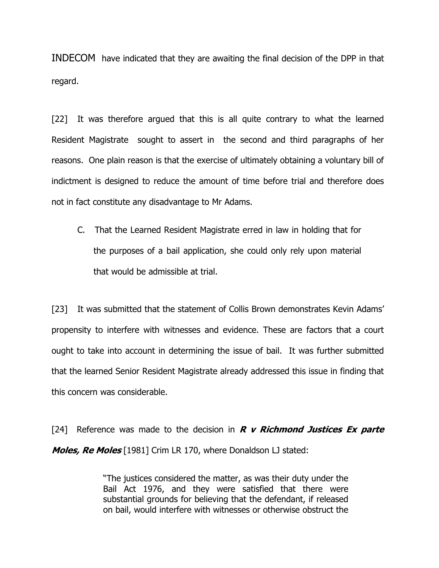INDECOM have indicated that they are awaiting the final decision of the DPP in that regard.

[22] It was therefore argued that this is all quite contrary to what the learned Resident Magistrate sought to assert in the second and third paragraphs of her reasons. One plain reason is that the exercise of ultimately obtaining a voluntary bill of indictment is designed to reduce the amount of time before trial and therefore does not in fact constitute any disadvantage to Mr Adams.

C. That the Learned Resident Magistrate erred in law in holding that for the purposes of a bail application, she could only rely upon material that would be admissible at trial.

[23] It was submitted that the statement of Collis Brown demonstrates Kevin Adams' propensity to interfere with witnesses and evidence. These are factors that a court ought to take into account in determining the issue of bail. It was further submitted that the learned Senior Resident Magistrate already addressed this issue in finding that this concern was considerable.

[24] Reference was made to the decision in  $R$  v Richmond Justices Ex parte Moles, Re Moles [1981] Crim LR 170, where Donaldson LJ stated:

> "The justices considered the matter, as was their duty under the Bail Act 1976, and they were satisfied that there were substantial grounds for believing that the defendant, if released on bail, would interfere with witnesses or otherwise obstruct the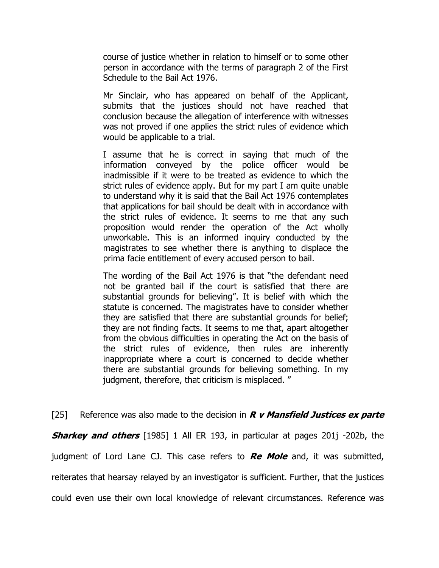course of justice whether in relation to himself or to some other person in accordance with the terms of paragraph 2 of the First Schedule to the Bail Act 1976.

Mr Sinclair, who has appeared on behalf of the Applicant, submits that the justices should not have reached that conclusion because the allegation of interference with witnesses was not proved if one applies the strict rules of evidence which would be applicable to a trial.

I assume that he is correct in saying that much of the information conveyed by the police officer would be inadmissible if it were to be treated as evidence to which the strict rules of evidence apply. But for my part I am quite unable to understand why it is said that the Bail Act 1976 contemplates that applications for bail should be dealt with in accordance with the strict rules of evidence. It seems to me that any such proposition would render the operation of the Act wholly unworkable. This is an informed inquiry conducted by the magistrates to see whether there is anything to displace the prima facie entitlement of every accused person to bail.

The wording of the Bail Act 1976 is that "the defendant need not be granted bail if the court is satisfied that there are substantial grounds for believing". It is belief with which the statute is concerned. The magistrates have to consider whether they are satisfied that there are substantial grounds for belief; they are not finding facts. It seems to me that, apart altogether from the obvious difficulties in operating the Act on the basis of the strict rules of evidence, then rules are inherently inappropriate where a court is concerned to decide whether there are substantial grounds for believing something. In my judgment, therefore, that criticism is misplaced. "

[25] Reference was also made to the decision in  $R$  v Mansfield Justices ex parte

**Sharkey and others** [1985] 1 All ER 193, in particular at pages 201j -202b, the judgment of Lord Lane CJ. This case refers to  $Re$  Mole and, it was submitted, reiterates that hearsay relayed by an investigator is sufficient. Further, that the justices could even use their own local knowledge of relevant circumstances. Reference was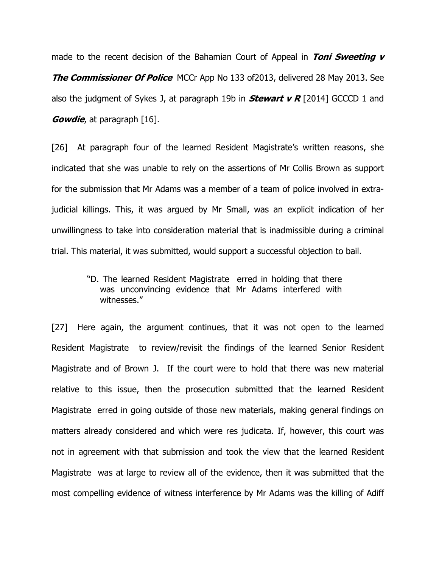made to the recent decision of the Bahamian Court of Appeal in **Toni Sweeting v The Commissioner Of Police** MCCr App No 133 of 2013, delivered 28 May 2013. See also the judgment of Sykes J, at paragraph 19b in **Stewart v R** [2014] GCCCD 1 and *Gowdie*, at paragraph [16].

[26] At paragraph four of the learned Resident Magistrate's written reasons, she indicated that she was unable to rely on the assertions of Mr Collis Brown as support for the submission that Mr Adams was a member of a team of police involved in extrajudicial killings. This, it was argued by Mr Small, was an explicit indication of her unwillingness to take into consideration material that is inadmissible during a criminal trial. This material, it was submitted, would support a successful objection to bail.

> "D. The learned Resident Magistrate erred in holding that there was unconvincing evidence that Mr Adams interfered with witnesses."

[27] Here again, the argument continues, that it was not open to the learned Resident Magistrate to review/revisit the findings of the learned Senior Resident Magistrate and of Brown J. If the court were to hold that there was new material relative to this issue, then the prosecution submitted that the learned Resident Magistrate erred in going outside of those new materials, making general findings on matters already considered and which were res judicata. If, however, this court was not in agreement with that submission and took the view that the learned Resident Magistrate was at large to review all of the evidence, then it was submitted that the most compelling evidence of witness interference by Mr Adams was the killing of Adiff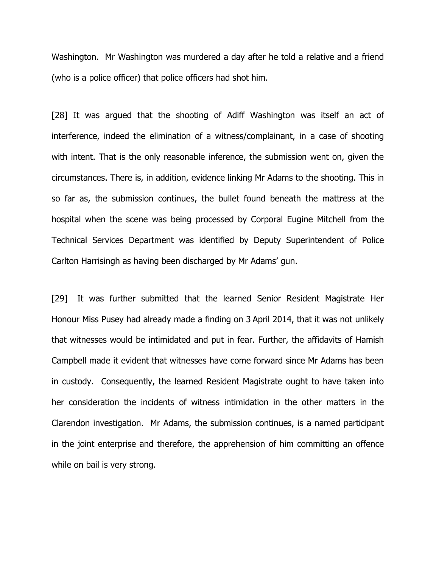Washington. Mr Washington was murdered a day after he told a relative and a friend (who is a police officer) that police officers had shot him.

[28] It was argued that the shooting of Adiff Washington was itself an act of interference, indeed the elimination of a witness/complainant, in a case of shooting with intent. That is the only reasonable inference, the submission went on, given the circumstances. There is, in addition, evidence linking Mr Adams to the shooting. This in so far as, the submission continues, the bullet found beneath the mattress at the hospital when the scene was being processed by Corporal Eugine Mitchell from the Technical Services Department was identified by Deputy Superintendent of Police Carlton Harrisingh as having been discharged by Mr Adams' gun.

[29] It was further submitted that the learned Senior Resident Magistrate Her Honour Miss Pusey had already made a finding on 3 April 2014, that it was not unlikely that witnesses would be intimidated and put in fear. Further, the affidavits of Hamish Campbell made it evident that witnesses have come forward since Mr Adams has been in custody. Consequently, the learned Resident Magistrate ought to have taken into her consideration the incidents of witness intimidation in the other matters in the Clarendon investigation. Mr Adams, the submission continues, is a named participant in the joint enterprise and therefore, the apprehension of him committing an offence while on bail is very strong.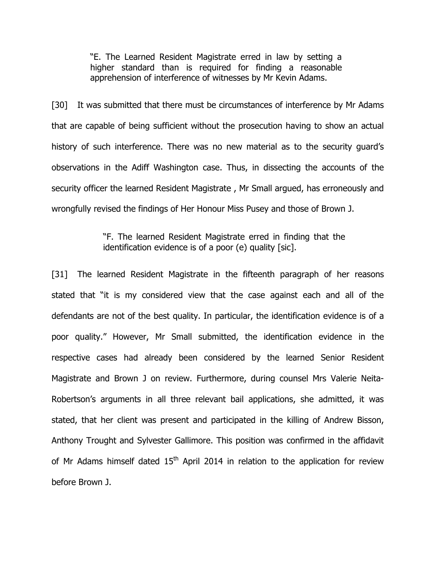"E. The Learned Resident Magistrate erred in law by setting a higher standard than is required for finding a reasonable apprehension of interference of witnesses by Mr Kevin Adams.

[30] It was submitted that there must be circumstances of interference by Mr Adams that are capable of being sufficient without the prosecution having to show an actual history of such interference. There was no new material as to the security guard's observations in the Adiff Washington case. Thus, in dissecting the accounts of the security officer the learned Resident Magistrate , Mr Small argued, has erroneously and wrongfully revised the findings of Her Honour Miss Pusey and those of Brown J.

# "F. The learned Resident Magistrate erred in finding that the identification evidence is of a poor (e) quality [sic].

[31] The learned Resident Magistrate in the fifteenth paragraph of her reasons stated that "it is my considered view that the case against each and all of the defendants are not of the best quality. In particular, the identification evidence is of a poor quality." However, Mr Small submitted, the identification evidence in the respective cases had already been considered by the learned Senior Resident Magistrate and Brown J on review. Furthermore, during counsel Mrs Valerie Neita-Robertson's arguments in all three relevant bail applications, she admitted, it was stated, that her client was present and participated in the killing of Andrew Bisson, Anthony Trought and Sylvester Gallimore. This position was confirmed in the affidavit of Mr Adams himself dated  $15<sup>th</sup>$  April 2014 in relation to the application for review before Brown J.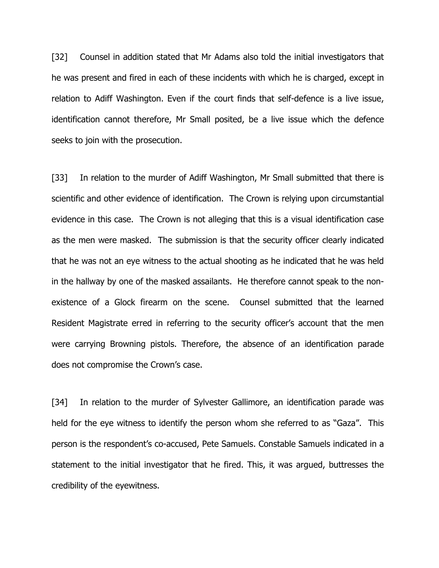[32] Counsel in addition stated that Mr Adams also told the initial investigators that he was present and fired in each of these incidents with which he is charged, except in relation to Adiff Washington. Even if the court finds that self-defence is a live issue, identification cannot therefore, Mr Small posited, be a live issue which the defence seeks to join with the prosecution.

[33] In relation to the murder of Adiff Washington, Mr Small submitted that there is scientific and other evidence of identification. The Crown is relying upon circumstantial evidence in this case. The Crown is not alleging that this is a visual identification case as the men were masked. The submission is that the security officer clearly indicated that he was not an eye witness to the actual shooting as he indicated that he was held in the hallway by one of the masked assailants. He therefore cannot speak to the nonexistence of a Glock firearm on the scene. Counsel submitted that the learned Resident Magistrate erred in referring to the security officer's account that the men were carrying Browning pistols. Therefore, the absence of an identification parade does not compromise the Crown's case.

[34] In relation to the murder of Sylvester Gallimore, an identification parade was held for the eye witness to identify the person whom she referred to as "Gaza". This person is the respondent's co-accused, Pete Samuels. Constable Samuels indicated in a statement to the initial investigator that he fired. This, it was argued, buttresses the credibility of the eyewitness.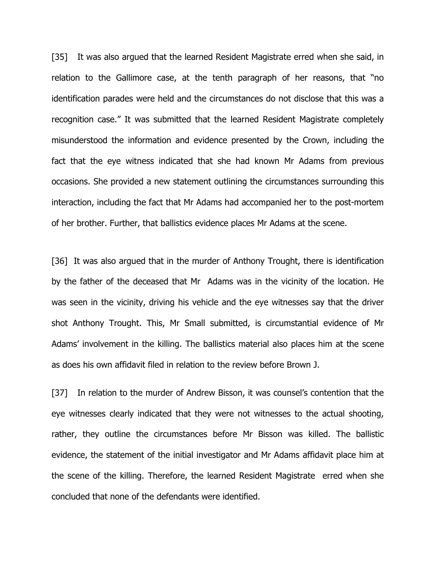[35] It was also argued that the learned Resident Magistrate erred when she said, in relation to the Gallimore case, at the tenth paragraph of her reasons, that "no identification parades were held and the circumstances do not disclose that this was a recognition case." It was submitted that the learned Resident Magistrate completely misunderstood the information and evidence presented by the Crown, including the fact that the eye witness indicated that she had known Mr Adams from previous occasions. She provided a new statement outlining the circumstances surrounding this interaction, including the fact that Mr Adams had accompanied her to the post-mortem of her brother. Further, that ballistics evidence places Mr Adams at the scene.

[36] It was also argued that in the murder of Anthony Trought, there is identification by the father of the deceased that Mr Adams was in the vicinity of the location. He was seen in the vicinity, driving his vehicle and the eye witnesses say that the driver shot Anthony Trought. This, Mr Small submitted, is circumstantial evidence of Mr Adams' involvement in the killing. The ballistics material also places him at the scene as does his own affidavit filed in relation to the review before Brown J.

[37] In relation to the murder of Andrew Bisson, it was counsel's contention that the eye witnesses clearly indicated that they were not witnesses to the actual shooting, rather, they outline the circumstances before Mr Bisson was killed. The ballistic evidence, the statement of the initial investigator and Mr Adams affidavit place him at the scene of the killing. Therefore, the learned Resident Magistrate erred when she concluded that none of the defendants were identified.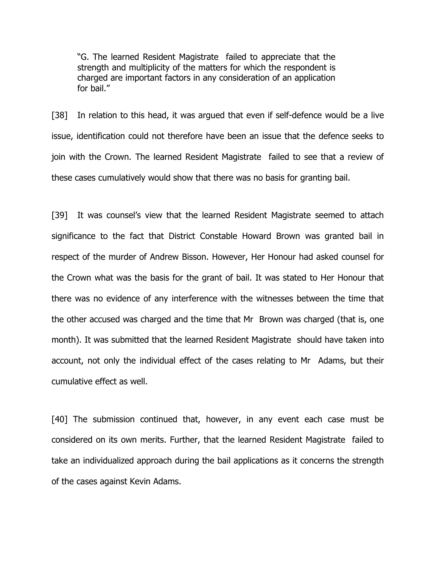"G. The learned Resident Magistrate failed to appreciate that the strength and multiplicity of the matters for which the respondent is charged are important factors in any consideration of an application for bail."

[38] In relation to this head, it was argued that even if self-defence would be a live issue, identification could not therefore have been an issue that the defence seeks to join with the Crown. The learned Resident Magistrate failed to see that a review of these cases cumulatively would show that there was no basis for granting bail.

[39] It was counsel's view that the learned Resident Magistrate seemed to attach significance to the fact that District Constable Howard Brown was granted bail in respect of the murder of Andrew Bisson. However, Her Honour had asked counsel for the Crown what was the basis for the grant of bail. It was stated to Her Honour that there was no evidence of any interference with the witnesses between the time that the other accused was charged and the time that Mr Brown was charged (that is, one month). It was submitted that the learned Resident Magistrate should have taken into account, not only the individual effect of the cases relating to Mr Adams, but their cumulative effect as well.

[40] The submission continued that, however, in any event each case must be considered on its own merits. Further, that the learned Resident Magistrate failed to take an individualized approach during the bail applications as it concerns the strength of the cases against Kevin Adams.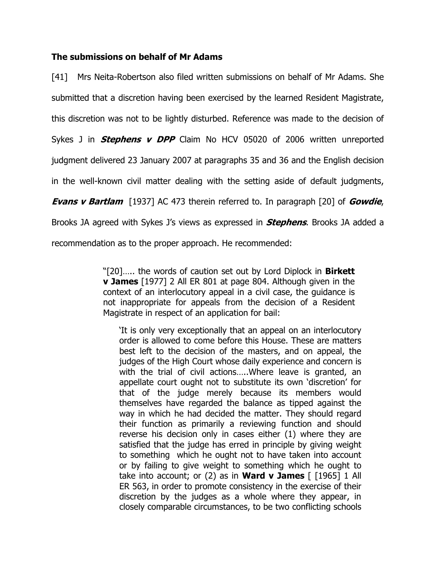### The submissions on behalf of Mr Adams

[41] Mrs Neita-Robertson also filed written submissions on behalf of Mr Adams. She submitted that a discretion having been exercised by the learned Resident Magistrate, this discretion was not to be lightly disturbed. Reference was made to the decision of Sykes J in **Stephens v DPP** Claim No HCV 05020 of 2006 written unreported judgment delivered 23 January 2007 at paragraphs 35 and 36 and the English decision in the well-known civil matter dealing with the setting aside of default judgments, **Evans v Bartlam** [1937] AC 473 therein referred to. In paragraph [20] of **Gowdie**, Brooks JA agreed with Sykes J's views as expressed in **Stephens**. Brooks JA added a recommendation as to the proper approach. He recommended:

> "[20]..... the words of caution set out by Lord Diplock in **Birkett v James** [1977] 2 All ER 801 at page 804. Although given in the context of an interlocutory appeal in a civil case, the guidance is not inappropriate for appeals from the decision of a Resident Magistrate in respect of an application for bail:

'It is only very exceptionally that an appeal on an interlocutory order is allowed to come before this House. These are matters best left to the decision of the masters, and on appeal, the judges of the High Court whose daily experience and concern is with the trial of civil actions…..Where leave is granted, an appellate court ought not to substitute its own 'discretion' for that of the judge merely because its members would themselves have regarded the balance as tipped against the way in which he had decided the matter. They should regard their function as primarily a reviewing function and should reverse his decision only in cases either (1) where they are satisfied that the judge has erred in principle by giving weight to something which he ought not to have taken into account or by failing to give weight to something which he ought to take into account; or (2) as in **Ward v James**  $\lceil$  [1965] 1 All ER 563, in order to promote consistency in the exercise of their discretion by the judges as a whole where they appear, in closely comparable circumstances, to be two conflicting schools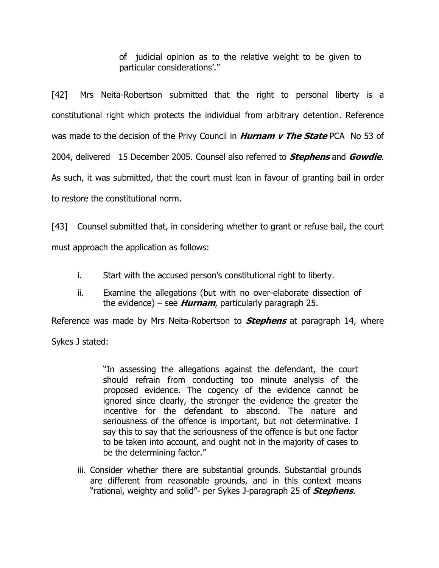of judicial opinion as to the relative weight to be given to particular considerations'."

[42] Mrs Neita-Robertson submitted that the right to personal liberty is a constitutional right which protects the individual from arbitrary detention. Reference was made to the decision of the Privy Council in **Hurnam v The State** PCA No 53 of 2004, delivered 15 December 2005. Counsel also referred to **Stephens** and **Gowdie**. As such, it was submitted, that the court must lean in favour of granting bail in order to restore the constitutional norm.

[43] Counsel submitted that, in considering whether to grant or refuse bail, the court must approach the application as follows:

- i. Start with the accused person's constitutional right to liberty.
- ii. Examine the allegations (but with no over-elaborate dissection of the evidence) – see **Hurnam**, particularly paragraph 25.

Reference was made by Mrs Neita-Robertson to **Stephens** at paragraph 14, where

Sykes J stated:

"In assessing the allegations against the defendant, the court should refrain from conducting too minute analysis of the proposed evidence. The cogency of the evidence cannot be ignored since clearly, the stronger the evidence the greater the incentive for the defendant to abscond. The nature and seriousness of the offence is important, but not determinative. I say this to say that the seriousness of the offence is but one factor to be taken into account, and ought not in the majority of cases to be the determining factor."

iii. Consider whether there are substantial grounds. Substantial grounds are different from reasonable grounds, and in this context means "rational, weighty and solid"- per Sykes J-paragraph 25 of **Stephens**.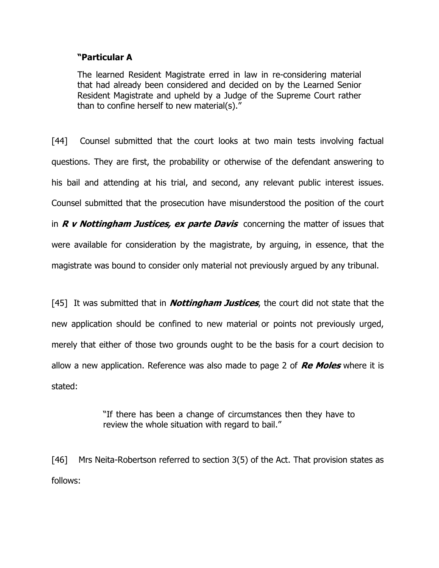## "Particular A

The learned Resident Magistrate erred in law in re-considering material that had already been considered and decided on by the Learned Senior Resident Magistrate and upheld by a Judge of the Supreme Court rather than to confine herself to new material(s)."

[44] Counsel submitted that the court looks at two main tests involving factual questions. They are first, the probability or otherwise of the defendant answering to his bail and attending at his trial, and second, any relevant public interest issues. Counsel submitted that the prosecution have misunderstood the position of the court in  $R$  v Nottingham Justices, ex parte Davis concerning the matter of issues that were available for consideration by the magistrate, by arguing, in essence, that the magistrate was bound to consider only material not previously argued by any tribunal.

[45] It was submitted that in **Nottingham Justices**, the court did not state that the new application should be confined to new material or points not previously urged, merely that either of those two grounds ought to be the basis for a court decision to allow a new application. Reference was also made to page 2 of **Re Moles** where it is stated:

> "If there has been a change of circumstances then they have to review the whole situation with regard to bail."

[46] Mrs Neita-Robertson referred to section 3(5) of the Act. That provision states as follows: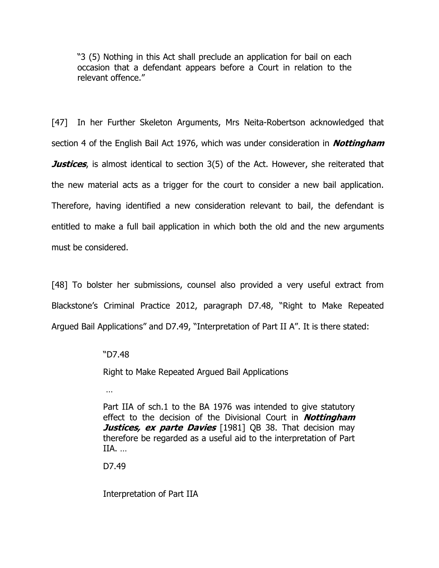"3 (5) Nothing in this Act shall preclude an application for bail on each occasion that a defendant appears before a Court in relation to the relevant offence."

[47] In her Further Skeleton Arguments, Mrs Neita-Robertson acknowledged that section 4 of the English Bail Act 1976, which was under consideration in **Nottingham Justices**, is almost identical to section 3(5) of the Act. However, she reiterated that the new material acts as a trigger for the court to consider a new bail application. Therefore, having identified a new consideration relevant to bail, the defendant is entitled to make a full bail application in which both the old and the new arguments must be considered.

[48] To bolster her submissions, counsel also provided a very useful extract from Blackstone's Criminal Practice 2012, paragraph D7.48, "Right to Make Repeated Argued Bail Applications" and D7.49, "Interpretation of Part II A". It is there stated:

"D7.48

Right to Make Repeated Argued Bail Applications

…

Part IIA of sch.1 to the BA 1976 was intended to give statutory effect to the decision of the Divisional Court in **Nottingham** Justices, ex parte Davies [1981] QB 38. That decision may therefore be regarded as a useful aid to the interpretation of Part IIA. …

D7.49

Interpretation of Part IIA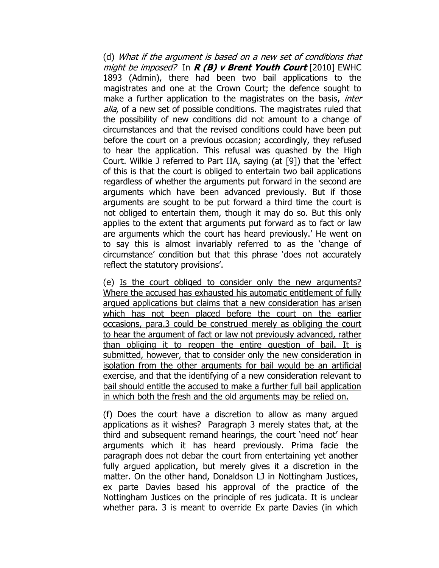(d) What if the argument is based on a new set of conditions that might be imposed? In  $R(B)$  v Brent Youth Court [2010] EWHC 1893 (Admin), there had been two bail applications to the magistrates and one at the Crown Court; the defence sought to make a further application to the magistrates on the basis, *inter* alia, of a new set of possible conditions. The magistrates ruled that the possibility of new conditions did not amount to a change of circumstances and that the revised conditions could have been put before the court on a previous occasion; accordingly, they refused to hear the application. This refusal was quashed by the High Court. Wilkie J referred to Part IIA, saying (at [9]) that the 'effect of this is that the court is obliged to entertain two bail applications regardless of whether the arguments put forward in the second are arguments which have been advanced previously. But if those arguments are sought to be put forward a third time the court is not obliged to entertain them, though it may do so. But this only applies to the extent that arguments put forward as to fact or law are arguments which the court has heard previously.' He went on to say this is almost invariably referred to as the 'change of circumstance' condition but that this phrase 'does not accurately reflect the statutory provisions'.

(e) Is the court obliged to consider only the new arguments? Where the accused has exhausted his automatic entitlement of fully argued applications but claims that a new consideration has arisen which has not been placed before the court on the earlier occasions, para.3 could be construed merely as obliging the court to hear the argument of fact or law not previously advanced, rather than obliging it to reopen the entire question of bail. It is submitted, however, that to consider only the new consideration in isolation from the other arguments for bail would be an artificial exercise, and that the identifying of a new consideration relevant to bail should entitle the accused to make a further full bail application in which both the fresh and the old arguments may be relied on.

(f) Does the court have a discretion to allow as many argued applications as it wishes? Paragraph 3 merely states that, at the third and subsequent remand hearings, the court 'need not' hear arguments which it has heard previously. Prima facie the paragraph does not debar the court from entertaining yet another fully argued application, but merely gives it a discretion in the matter. On the other hand, Donaldson LJ in Nottingham Justices, ex parte Davies based his approval of the practice of the Nottingham Justices on the principle of res judicata. It is unclear whether para. 3 is meant to override Ex parte Davies (in which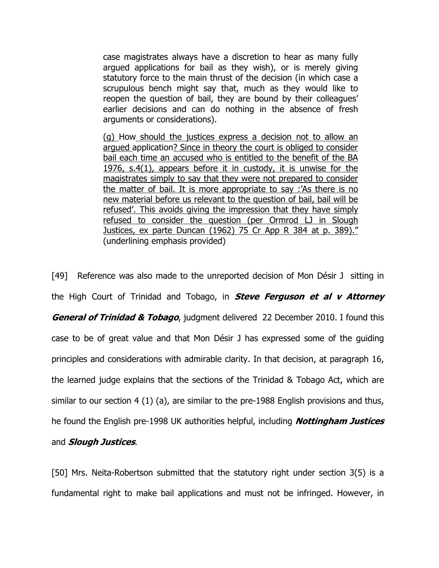case magistrates always have a discretion to hear as many fully argued applications for bail as they wish), or is merely giving statutory force to the main thrust of the decision (in which case a scrupulous bench might say that, much as they would like to reopen the question of bail, they are bound by their colleagues' earlier decisions and can do nothing in the absence of fresh arguments or considerations).

(g) How should the justices express a decision not to allow an argued application? Since in theory the court is obliged to consider bail each time an accused who is entitled to the benefit of the BA 1976, s.4(1), appears before it in custody, it is unwise for the magistrates simply to say that they were not prepared to consider the matter of bail. It is more appropriate to say :'As there is no new material before us relevant to the question of bail, bail will be refused'. This avoids giving the impression that they have simply refused to consider the question (per Ormrod LJ in Slough Justices, ex parte Duncan (1962) 75 Cr App R 384 at p. 389)." (underlining emphasis provided)

[49] Reference was also made to the unreported decision of Mon Désir J sitting in the High Court of Trinidad and Tobago, in **Steve Ferguson et al v Attorney** General of Trinidad & Tobago, judgment delivered 22 December 2010. I found this case to be of great value and that Mon Désir J has expressed some of the guiding principles and considerations with admirable clarity. In that decision, at paragraph 16, the learned judge explains that the sections of the Trinidad & Tobago Act, which are similar to our section 4 (1) (a), are similar to the pre-1988 English provisions and thus, he found the English pre-1998 UK authorities helpful, including **Nottingham Justices** 

and **Slough Justices**.

[50] Mrs. Neita-Robertson submitted that the statutory right under section 3(5) is a fundamental right to make bail applications and must not be infringed. However, in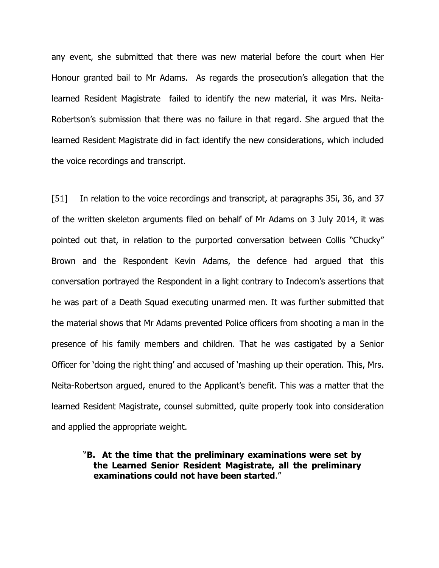any event, she submitted that there was new material before the court when Her Honour granted bail to Mr Adams. As regards the prosecution's allegation that the learned Resident Magistrate failed to identify the new material, it was Mrs. Neita-Robertson's submission that there was no failure in that regard. She argued that the learned Resident Magistrate did in fact identify the new considerations, which included the voice recordings and transcript.

[51] In relation to the voice recordings and transcript, at paragraphs 35i, 36, and 37 of the written skeleton arguments filed on behalf of Mr Adams on 3 July 2014, it was pointed out that, in relation to the purported conversation between Collis "Chucky" Brown and the Respondent Kevin Adams, the defence had argued that this conversation portrayed the Respondent in a light contrary to Indecom's assertions that he was part of a Death Squad executing unarmed men. It was further submitted that the material shows that Mr Adams prevented Police officers from shooting a man in the presence of his family members and children. That he was castigated by a Senior Officer for 'doing the right thing' and accused of 'mashing up their operation. This, Mrs. Neita-Robertson argued, enured to the Applicant's benefit. This was a matter that the learned Resident Magistrate, counsel submitted, quite properly took into consideration and applied the appropriate weight.

## "B. At the time that the preliminary examinations were set by the Learned Senior Resident Magistrate, all the preliminary examinations could not have been started."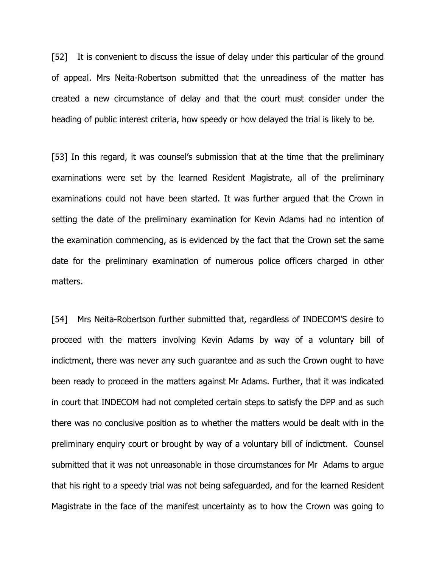[52] It is convenient to discuss the issue of delay under this particular of the ground of appeal. Mrs Neita-Robertson submitted that the unreadiness of the matter has created a new circumstance of delay and that the court must consider under the heading of public interest criteria, how speedy or how delayed the trial is likely to be.

[53] In this regard, it was counsel's submission that at the time that the preliminary examinations were set by the learned Resident Magistrate, all of the preliminary examinations could not have been started. It was further argued that the Crown in setting the date of the preliminary examination for Kevin Adams had no intention of the examination commencing, as is evidenced by the fact that the Crown set the same date for the preliminary examination of numerous police officers charged in other matters.

[54] Mrs Neita-Robertson further submitted that, regardless of INDECOM'S desire to proceed with the matters involving Kevin Adams by way of a voluntary bill of indictment, there was never any such guarantee and as such the Crown ought to have been ready to proceed in the matters against Mr Adams. Further, that it was indicated in court that INDECOM had not completed certain steps to satisfy the DPP and as such there was no conclusive position as to whether the matters would be dealt with in the preliminary enquiry court or brought by way of a voluntary bill of indictment. Counsel submitted that it was not unreasonable in those circumstances for Mr Adams to argue that his right to a speedy trial was not being safeguarded, and for the learned Resident Magistrate in the face of the manifest uncertainty as to how the Crown was going to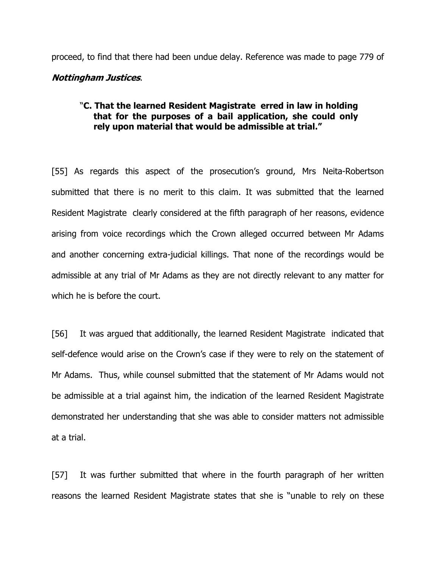proceed, to find that there had been undue delay. Reference was made to page 779 of

#### Nottingham Justices.

# "C. That the learned Resident Magistrate erred in law in holding that for the purposes of a bail application, she could only rely upon material that would be admissible at trial."

[55] As regards this aspect of the prosecution's ground, Mrs Neita-Robertson submitted that there is no merit to this claim. It was submitted that the learned Resident Magistrate clearly considered at the fifth paragraph of her reasons, evidence arising from voice recordings which the Crown alleged occurred between Mr Adams and another concerning extra-judicial killings. That none of the recordings would be admissible at any trial of Mr Adams as they are not directly relevant to any matter for which he is before the court.

[56] It was argued that additionally, the learned Resident Magistrate indicated that self-defence would arise on the Crown's case if they were to rely on the statement of Mr Adams. Thus, while counsel submitted that the statement of Mr Adams would not be admissible at a trial against him, the indication of the learned Resident Magistrate demonstrated her understanding that she was able to consider matters not admissible at a trial.

[57] It was further submitted that where in the fourth paragraph of her written reasons the learned Resident Magistrate states that she is "unable to rely on these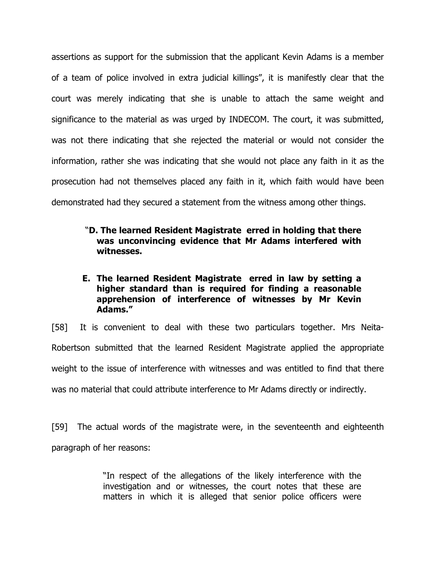assertions as support for the submission that the applicant Kevin Adams is a member of a team of police involved in extra judicial killings", it is manifestly clear that the court was merely indicating that she is unable to attach the same weight and significance to the material as was urged by INDECOM. The court, it was submitted, was not there indicating that she rejected the material or would not consider the information, rather she was indicating that she would not place any faith in it as the prosecution had not themselves placed any faith in it, which faith would have been demonstrated had they secured a statement from the witness among other things.

## "D. The learned Resident Magistrate erred in holding that there was unconvincing evidence that Mr Adams interfered with witnesses.

## E. The learned Resident Magistrate erred in law by setting a higher standard than is required for finding a reasonable apprehension of interference of witnesses by Mr Kevin Adams."

[58] It is convenient to deal with these two particulars together. Mrs Neita-Robertson submitted that the learned Resident Magistrate applied the appropriate weight to the issue of interference with witnesses and was entitled to find that there was no material that could attribute interference to Mr Adams directly or indirectly.

[59] The actual words of the magistrate were, in the seventeenth and eighteenth paragraph of her reasons:

> "In respect of the allegations of the likely interference with the investigation and or witnesses, the court notes that these are matters in which it is alleged that senior police officers were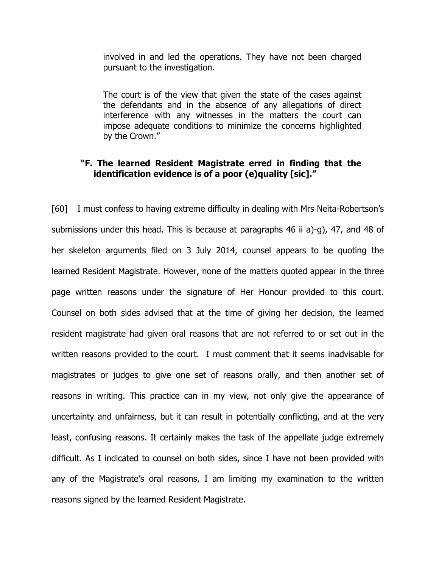involved in and led the operations. They have not been charged pursuant to the investigation.

The court is of the view that given the state of the cases against the defendants and in the absence of any allegations of direct interference with any witnesses in the matters the court can impose adequate conditions to minimize the concerns highlighted by the Crown."

## "F. The learned Resident Magistrate erred in finding that the identification evidence is of a poor (e)quality [sic]."

[60] I must confess to having extreme difficulty in dealing with Mrs Neita-Robertson's submissions under this head. This is because at paragraphs 46 ii a)-g), 47, and 48 of her skeleton arguments filed on 3 July 2014, counsel appears to be quoting the learned Resident Magistrate. However, none of the matters quoted appear in the three page written reasons under the signature of Her Honour provided to this court. Counsel on both sides advised that at the time of giving her decision, the learned resident magistrate had given oral reasons that are not referred to or set out in the written reasons provided to the court. I must comment that it seems inadvisable for magistrates or judges to give one set of reasons orally, and then another set of reasons in writing. This practice can in my view, not only give the appearance of uncertainty and unfairness, but it can result in potentially conflicting, and at the very least, confusing reasons. It certainly makes the task of the appellate judge extremely difficult. As I indicated to counsel on both sides, since I have not been provided with any of the Magistrate's oral reasons, I am limiting my examination to the written reasons signed by the learned Resident Magistrate.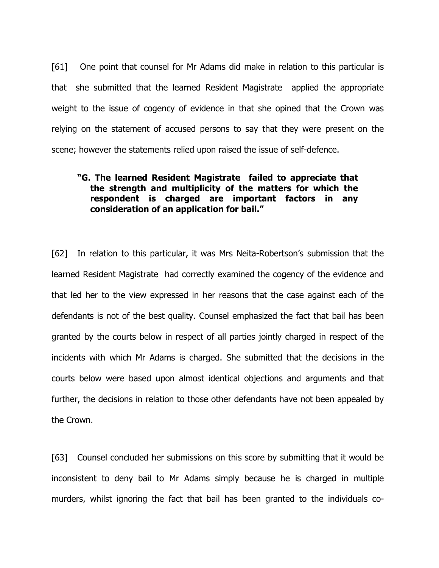[61] One point that counsel for Mr Adams did make in relation to this particular is that she submitted that the learned Resident Magistrate applied the appropriate weight to the issue of cogency of evidence in that she opined that the Crown was relying on the statement of accused persons to say that they were present on the scene; however the statements relied upon raised the issue of self-defence.

## "G. The learned Resident Magistrate failed to appreciate that the strength and multiplicity of the matters for which the respondent is charged are important factors in any consideration of an application for bail."

[62] In relation to this particular, it was Mrs Neita-Robertson's submission that the learned Resident Magistrate had correctly examined the cogency of the evidence and that led her to the view expressed in her reasons that the case against each of the defendants is not of the best quality. Counsel emphasized the fact that bail has been granted by the courts below in respect of all parties jointly charged in respect of the incidents with which Mr Adams is charged. She submitted that the decisions in the courts below were based upon almost identical objections and arguments and that further, the decisions in relation to those other defendants have not been appealed by the Crown.

[63] Counsel concluded her submissions on this score by submitting that it would be inconsistent to deny bail to Mr Adams simply because he is charged in multiple murders, whilst ignoring the fact that bail has been granted to the individuals co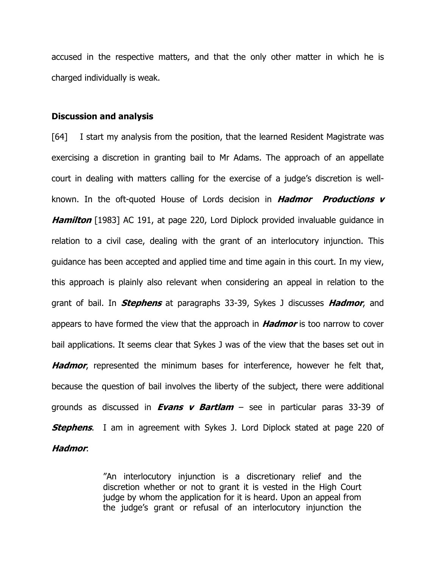accused in the respective matters, and that the only other matter in which he is charged individually is weak.

#### Discussion and analysis

[64] I start my analysis from the position, that the learned Resident Magistrate was exercising a discretion in granting bail to Mr Adams. The approach of an appellate court in dealing with matters calling for the exercise of a judge's discretion is wellknown. In the oft-quoted House of Lords decision in Hadmor Productions v **Hamilton** [1983] AC 191, at page 220, Lord Diplock provided invaluable guidance in relation to a civil case, dealing with the grant of an interlocutory injunction. This guidance has been accepted and applied time and time again in this court. In my view, this approach is plainly also relevant when considering an appeal in relation to the grant of bail. In **Stephens** at paragraphs 33-39, Sykes J discusses **Hadmor**, and appears to have formed the view that the approach in **Hadmor** is too narrow to cover bail applications. It seems clear that Sykes J was of the view that the bases set out in **Hadmor**, represented the minimum bases for interference, however he felt that, because the question of bail involves the liberty of the subject, there were additional grounds as discussed in **Evans v Bartlam** – see in particular paras 33-39 of **Stephens.** I am in agreement with Sykes J. Lord Diplock stated at page 220 of Hadmor:

> "An interlocutory injunction is a discretionary relief and the discretion whether or not to grant it is vested in the High Court judge by whom the application for it is heard. Upon an appeal from the judge's grant or refusal of an interlocutory injunction the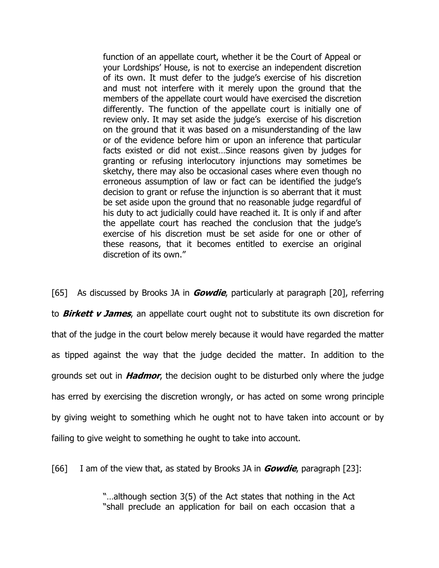function of an appellate court, whether it be the Court of Appeal or your Lordships' House, is not to exercise an independent discretion of its own. It must defer to the judge's exercise of his discretion and must not interfere with it merely upon the ground that the members of the appellate court would have exercised the discretion differently. The function of the appellate court is initially one of review only. It may set aside the judge's exercise of his discretion on the ground that it was based on a misunderstanding of the law or of the evidence before him or upon an inference that particular facts existed or did not exist…Since reasons given by judges for granting or refusing interlocutory injunctions may sometimes be sketchy, there may also be occasional cases where even though no erroneous assumption of law or fact can be identified the judge's decision to grant or refuse the injunction is so aberrant that it must be set aside upon the ground that no reasonable judge regardful of his duty to act judicially could have reached it. It is only if and after the appellate court has reached the conclusion that the judge's exercise of his discretion must be set aside for one or other of these reasons, that it becomes entitled to exercise an original discretion of its own."

[65] As discussed by Brooks JA in *Gowdie*, particularly at paragraph [20], referring to **Birkett v James**, an appellate court ought not to substitute its own discretion for that of the judge in the court below merely because it would have regarded the matter as tipped against the way that the judge decided the matter. In addition to the grounds set out in *Hadmor*, the decision ought to be disturbed only where the judge has erred by exercising the discretion wrongly, or has acted on some wrong principle by giving weight to something which he ought not to have taken into account or by failing to give weight to something he ought to take into account.

[66] I am of the view that, as stated by Brooks JA in **Gowdie**, paragraph [23]:

"…although section 3(5) of the Act states that nothing in the Act "shall preclude an application for bail on each occasion that a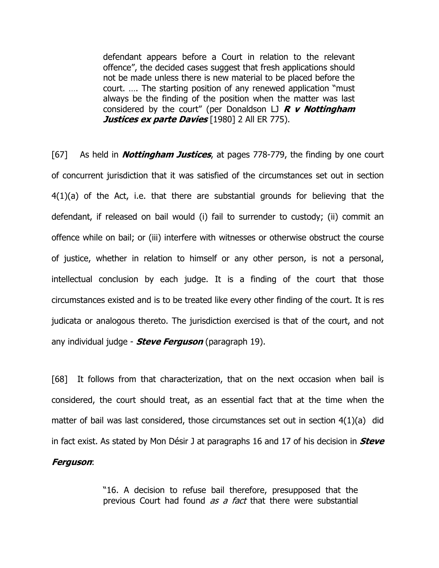defendant appears before a Court in relation to the relevant offence", the decided cases suggest that fresh applications should not be made unless there is new material to be placed before the court. …. The starting position of any renewed application "must always be the finding of the position when the matter was last considered by the court" (per Donaldson  $\Box$  **R** v **Nottingham** Justices ex parte Davies [1980] 2 All ER 775).

 $[67]$  As held in **Nottingham Justices**, at pages 778-779, the finding by one court of concurrent jurisdiction that it was satisfied of the circumstances set out in section 4(1)(a) of the Act, i.e. that there are substantial grounds for believing that the defendant, if released on bail would (i) fail to surrender to custody; (ii) commit an offence while on bail; or (iii) interfere with witnesses or otherwise obstruct the course of justice, whether in relation to himself or any other person, is not a personal, intellectual conclusion by each judge. It is a finding of the court that those circumstances existed and is to be treated like every other finding of the court. It is res judicata or analogous thereto. The jurisdiction exercised is that of the court, and not any individual judge - **Steve Ferguson** (paragraph 19).

[68] It follows from that characterization, that on the next occasion when bail is considered, the court should treat, as an essential fact that at the time when the matter of bail was last considered, those circumstances set out in section 4(1)(a) did in fact exist. As stated by Mon Désir J at paragraphs 16 and 17 of his decision in **Steve** Ferguson:

> "16. A decision to refuse bail therefore, presupposed that the previous Court had found as a fact that there were substantial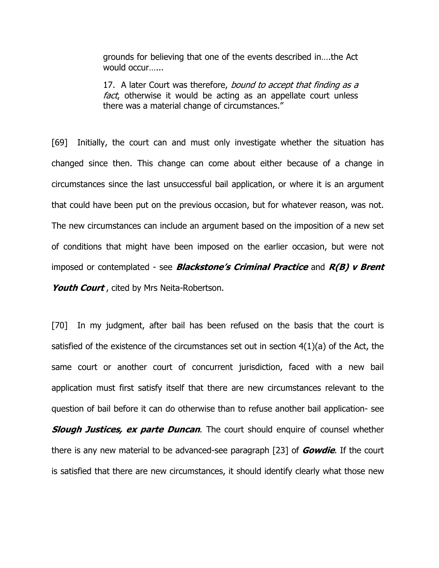grounds for believing that one of the events described in….the Act would occur…...

17. A later Court was therefore, *bound to accept that finding as a* fact, otherwise it would be acting as an appellate court unless there was a material change of circumstances."

[69] Initially, the court can and must only investigate whether the situation has changed since then. This change can come about either because of a change in circumstances since the last unsuccessful bail application, or where it is an argument that could have been put on the previous occasion, but for whatever reason, was not. The new circumstances can include an argument based on the imposition of a new set of conditions that might have been imposed on the earlier occasion, but were not imposed or contemplated - see **Blackstone's Criminal Practice** and  $R(B)$  v Brent Youth Court, cited by Mrs Neita-Robertson.

[70] In my judgment, after bail has been refused on the basis that the court is satisfied of the existence of the circumstances set out in section  $4(1)(a)$  of the Act, the same court or another court of concurrent jurisdiction, faced with a new bail application must first satisfy itself that there are new circumstances relevant to the question of bail before it can do otherwise than to refuse another bail application- see **Slough Justices, ex parte Duncan.** The court should enquire of counsel whether there is any new material to be advanced-see paragraph [23] of **Gowdie**. If the court is satisfied that there are new circumstances, it should identify clearly what those new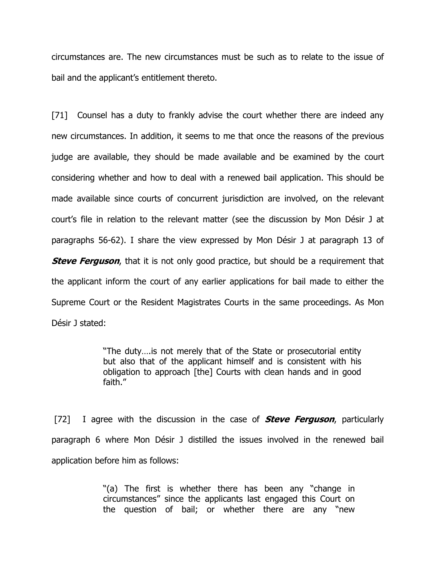circumstances are. The new circumstances must be such as to relate to the issue of bail and the applicant's entitlement thereto.

[71] Counsel has a duty to frankly advise the court whether there are indeed any new circumstances. In addition, it seems to me that once the reasons of the previous judge are available, they should be made available and be examined by the court considering whether and how to deal with a renewed bail application. This should be made available since courts of concurrent jurisdiction are involved, on the relevant court's file in relation to the relevant matter (see the discussion by Mon Désir J at paragraphs 56-62). I share the view expressed by Mon Désir J at paragraph 13 of **Steve Ferguson**, that it is not only good practice, but should be a requirement that the applicant inform the court of any earlier applications for bail made to either the Supreme Court or the Resident Magistrates Courts in the same proceedings. As Mon Désir J stated:

> "The duty….is not merely that of the State or prosecutorial entity but also that of the applicant himself and is consistent with his obligation to approach [the] Courts with clean hands and in good faith."

[72] I agree with the discussion in the case of *Steve Ferguson*, particularly paragraph 6 where Mon Désir J distilled the issues involved in the renewed bail application before him as follows:

> "(a) The first is whether there has been any "change in circumstances" since the applicants last engaged this Court on the question of bail; or whether there are any "new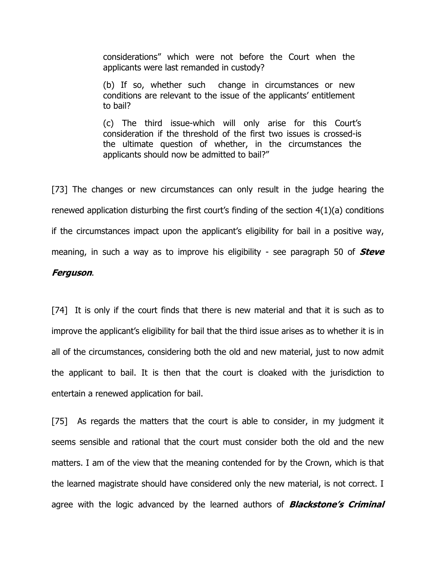considerations" which were not before the Court when the applicants were last remanded in custody?

(b) If so, whether such change in circumstances or new conditions are relevant to the issue of the applicants' entitlement to bail?

(c) The third issue-which will only arise for this Court's consideration if the threshold of the first two issues is crossed-is the ultimate question of whether, in the circumstances the applicants should now be admitted to bail?"

[73] The changes or new circumstances can only result in the judge hearing the renewed application disturbing the first court's finding of the section 4(1)(a) conditions if the circumstances impact upon the applicant's eligibility for bail in a positive way, meaning, in such a way as to improve his eligibility - see paragraph 50 of **Steve** Ferguson.

[74] It is only if the court finds that there is new material and that it is such as to improve the applicant's eligibility for bail that the third issue arises as to whether it is in all of the circumstances, considering both the old and new material, just to now admit the applicant to bail. It is then that the court is cloaked with the jurisdiction to entertain a renewed application for bail.

[75] As regards the matters that the court is able to consider, in my judgment it seems sensible and rational that the court must consider both the old and the new matters. I am of the view that the meaning contended for by the Crown, which is that the learned magistrate should have considered only the new material, is not correct. I agree with the logic advanced by the learned authors of **Blackstone's Criminal**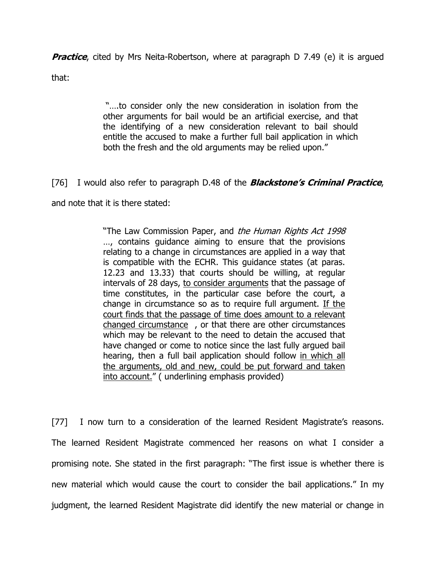**Practice**, cited by Mrs Neita-Robertson, where at paragraph D 7.49 (e) it is argued

that:

"….to consider only the new consideration in isolation from the other arguments for bail would be an artificial exercise, and that the identifying of a new consideration relevant to bail should entitle the accused to make a further full bail application in which both the fresh and the old arguments may be relied upon."

[76] I would also refer to paragraph D.48 of the **Blackstone's Criminal Practice**,

and note that it is there stated:

"The Law Commission Paper, and the Human Rights Act 1998 …, contains guidance aiming to ensure that the provisions relating to a change in circumstances are applied in a way that is compatible with the ECHR. This guidance states (at paras. 12.23 and 13.33) that courts should be willing, at regular intervals of 28 days, to consider arguments that the passage of time constitutes, in the particular case before the court, a change in circumstance so as to require full argument. If the court finds that the passage of time does amount to a relevant changed circumstance , or that there are other circumstances which may be relevant to the need to detain the accused that have changed or come to notice since the last fully argued bail hearing, then a full bail application should follow in which all the arguments, old and new, could be put forward and taken into account." ( underlining emphasis provided)

[77] I now turn to a consideration of the learned Resident Magistrate's reasons. The learned Resident Magistrate commenced her reasons on what I consider a promising note. She stated in the first paragraph: "The first issue is whether there is new material which would cause the court to consider the bail applications." In my judgment, the learned Resident Magistrate did identify the new material or change in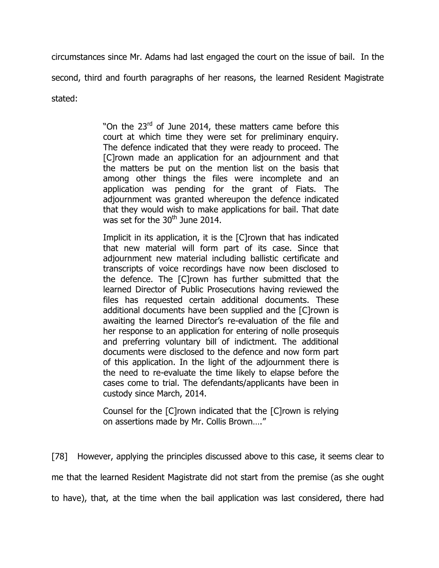circumstances since Mr. Adams had last engaged the court on the issue of bail. In the second, third and fourth paragraphs of her reasons, the learned Resident Magistrate stated:

> "On the 23<sup>rd</sup> of June 2014, these matters came before this court at which time they were set for preliminary enquiry. The defence indicated that they were ready to proceed. The [C]rown made an application for an adjournment and that the matters be put on the mention list on the basis that among other things the files were incomplete and an application was pending for the grant of Fiats. The adjournment was granted whereupon the defence indicated that they would wish to make applications for bail. That date was set for the 30<sup>th</sup> June 2014.

> Implicit in its application, it is the [C]rown that has indicated that new material will form part of its case. Since that adjournment new material including ballistic certificate and transcripts of voice recordings have now been disclosed to the defence. The [C]rown has further submitted that the learned Director of Public Prosecutions having reviewed the files has requested certain additional documents. These additional documents have been supplied and the [C]rown is awaiting the learned Director's re-evaluation of the file and her response to an application for entering of nolle prosequis and preferring voluntary bill of indictment. The additional documents were disclosed to the defence and now form part of this application. In the light of the adjournment there is the need to re-evaluate the time likely to elapse before the cases come to trial. The defendants/applicants have been in custody since March, 2014.

> Counsel for the [C]rown indicated that the [C]rown is relying on assertions made by Mr. Collis Brown…."

[78] However, applying the principles discussed above to this case, it seems clear to me that the learned Resident Magistrate did not start from the premise (as she ought to have), that, at the time when the bail application was last considered, there had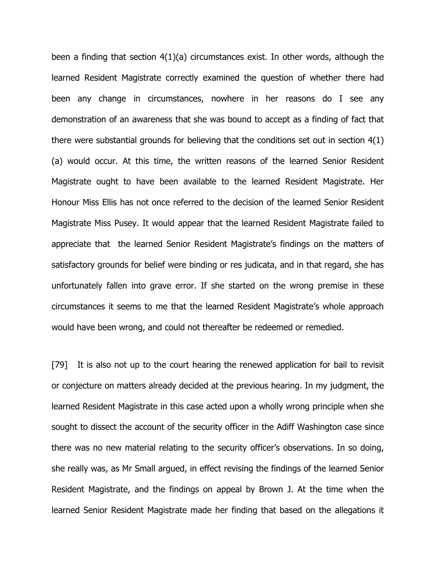been a finding that section 4(1)(a) circumstances exist. In other words, although the learned Resident Magistrate correctly examined the question of whether there had been any change in circumstances, nowhere in her reasons do I see any demonstration of an awareness that she was bound to accept as a finding of fact that there were substantial grounds for believing that the conditions set out in section 4(1) (a) would occur. At this time, the written reasons of the learned Senior Resident Magistrate ought to have been available to the learned Resident Magistrate. Her Honour Miss Ellis has not once referred to the decision of the learned Senior Resident Magistrate Miss Pusey. It would appear that the learned Resident Magistrate failed to appreciate that the learned Senior Resident Magistrate's findings on the matters of satisfactory grounds for belief were binding or res judicata, and in that regard, she has unfortunately fallen into grave error. If she started on the wrong premise in these circumstances it seems to me that the learned Resident Magistrate's whole approach would have been wrong, and could not thereafter be redeemed or remedied.

[79] It is also not up to the court hearing the renewed application for bail to revisit or conjecture on matters already decided at the previous hearing. In my judgment, the learned Resident Magistrate in this case acted upon a wholly wrong principle when she sought to dissect the account of the security officer in the Adiff Washington case since there was no new material relating to the security officer's observations. In so doing, she really was, as Mr Small argued, in effect revising the findings of the learned Senior Resident Magistrate, and the findings on appeal by Brown J. At the time when the learned Senior Resident Magistrate made her finding that based on the allegations it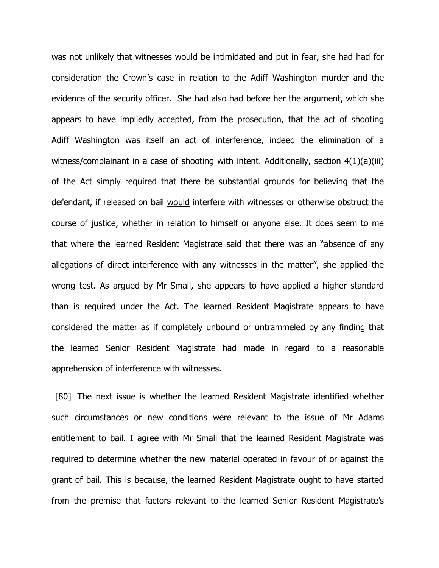was not unlikely that witnesses would be intimidated and put in fear, she had had for consideration the Crown's case in relation to the Adiff Washington murder and the evidence of the security officer. She had also had before her the argument, which she appears to have impliedly accepted, from the prosecution, that the act of shooting Adiff Washington was itself an act of interference, indeed the elimination of a witness/complainant in a case of shooting with intent. Additionally, section 4(1)(a)(iii) of the Act simply required that there be substantial grounds for believing that the defendant, if released on bail would interfere with witnesses or otherwise obstruct the course of justice, whether in relation to himself or anyone else. It does seem to me that where the learned Resident Magistrate said that there was an "absence of any allegations of direct interference with any witnesses in the matter", she applied the wrong test. As argued by Mr Small, she appears to have applied a higher standard than is required under the Act. The learned Resident Magistrate appears to have considered the matter as if completely unbound or untrammeled by any finding that the learned Senior Resident Magistrate had made in regard to a reasonable apprehension of interference with witnesses.

 [80] The next issue is whether the learned Resident Magistrate identified whether such circumstances or new conditions were relevant to the issue of Mr Adams entitlement to bail. I agree with Mr Small that the learned Resident Magistrate was required to determine whether the new material operated in favour of or against the grant of bail. This is because, the learned Resident Magistrate ought to have started from the premise that factors relevant to the learned Senior Resident Magistrate's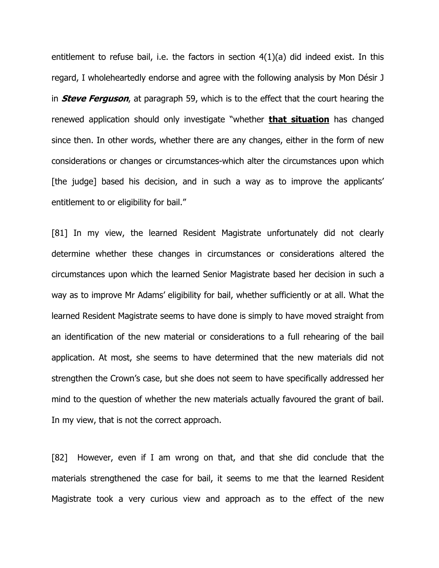entitlement to refuse bail, i.e. the factors in section 4(1)(a) did indeed exist. In this regard, I wholeheartedly endorse and agree with the following analysis by Mon Désir J in **Steve Ferguson**, at paragraph 59, which is to the effect that the court hearing the renewed application should only investigate "whether **that situation** has changed since then. In other words, whether there are any changes, either in the form of new considerations or changes or circumstances-which alter the circumstances upon which [the judge] based his decision, and in such a way as to improve the applicants' entitlement to or eligibility for bail."

[81] In my view, the learned Resident Magistrate unfortunately did not clearly determine whether these changes in circumstances or considerations altered the circumstances upon which the learned Senior Magistrate based her decision in such a way as to improve Mr Adams' eligibility for bail, whether sufficiently or at all. What the learned Resident Magistrate seems to have done is simply to have moved straight from an identification of the new material or considerations to a full rehearing of the bail application. At most, she seems to have determined that the new materials did not strengthen the Crown's case, but she does not seem to have specifically addressed her mind to the question of whether the new materials actually favoured the grant of bail. In my view, that is not the correct approach.

[82] However, even if I am wrong on that, and that she did conclude that the materials strengthened the case for bail, it seems to me that the learned Resident Magistrate took a very curious view and approach as to the effect of the new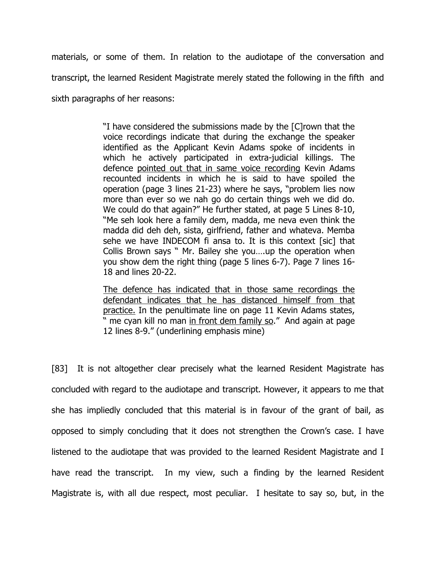materials, or some of them. In relation to the audiotape of the conversation and transcript, the learned Resident Magistrate merely stated the following in the fifth and sixth paragraphs of her reasons:

> "I have considered the submissions made by the [C]rown that the voice recordings indicate that during the exchange the speaker identified as the Applicant Kevin Adams spoke of incidents in which he actively participated in extra-judicial killings. The defence pointed out that in same voice recording Kevin Adams recounted incidents in which he is said to have spoiled the operation (page 3 lines 21-23) where he says, "problem lies now more than ever so we nah go do certain things weh we did do. We could do that again?" He further stated, at page 5 Lines 8-10, "Me seh look here a family dem, madda, me neva even think the madda did deh deh, sista, girlfriend, father and whateva. Memba sehe we have INDECOM fi ansa to. It is this context [sic] that Collis Brown says " Mr. Bailey she you….up the operation when you show dem the right thing (page 5 lines 6-7). Page 7 lines 16- 18 and lines 20-22.

> The defence has indicated that in those same recordings the defendant indicates that he has distanced himself from that practice. In the penultimate line on page 11 Kevin Adams states, " me cyan kill no man in front dem family so." And again at page 12 lines 8-9." (underlining emphasis mine)

[83] It is not altogether clear precisely what the learned Resident Magistrate has concluded with regard to the audiotape and transcript. However, it appears to me that she has impliedly concluded that this material is in favour of the grant of bail, as opposed to simply concluding that it does not strengthen the Crown's case. I have listened to the audiotape that was provided to the learned Resident Magistrate and I have read the transcript. In my view, such a finding by the learned Resident Magistrate is, with all due respect, most peculiar. I hesitate to say so, but, in the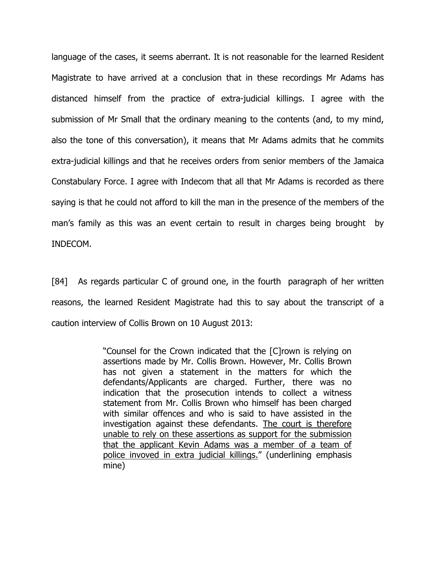language of the cases, it seems aberrant. It is not reasonable for the learned Resident Magistrate to have arrived at a conclusion that in these recordings Mr Adams has distanced himself from the practice of extra-judicial killings. I agree with the submission of Mr Small that the ordinary meaning to the contents (and, to my mind, also the tone of this conversation), it means that Mr Adams admits that he commits extra-judicial killings and that he receives orders from senior members of the Jamaica Constabulary Force. I agree with Indecom that all that Mr Adams is recorded as there saying is that he could not afford to kill the man in the presence of the members of the man's family as this was an event certain to result in charges being brought by INDECOM.

[84] As regards particular C of ground one, in the fourth paragraph of her written reasons, the learned Resident Magistrate had this to say about the transcript of a caution interview of Collis Brown on 10 August 2013:

> "Counsel for the Crown indicated that the [C]rown is relying on assertions made by Mr. Collis Brown. However, Mr. Collis Brown has not given a statement in the matters for which the defendants/Applicants are charged. Further, there was no indication that the prosecution intends to collect a witness statement from Mr. Collis Brown who himself has been charged with similar offences and who is said to have assisted in the investigation against these defendants. The court is therefore unable to rely on these assertions as support for the submission that the applicant Kevin Adams was a member of a team of police invoved in extra judicial killings." (underlining emphasis mine)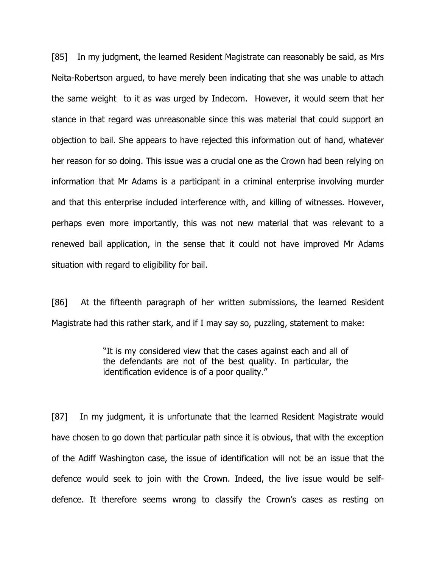[85] In my judgment, the learned Resident Magistrate can reasonably be said, as Mrs Neita-Robertson argued, to have merely been indicating that she was unable to attach the same weight to it as was urged by Indecom. However, it would seem that her stance in that regard was unreasonable since this was material that could support an objection to bail. She appears to have rejected this information out of hand, whatever her reason for so doing. This issue was a crucial one as the Crown had been relying on information that Mr Adams is a participant in a criminal enterprise involving murder and that this enterprise included interference with, and killing of witnesses. However, perhaps even more importantly, this was not new material that was relevant to a renewed bail application, in the sense that it could not have improved Mr Adams situation with regard to eligibility for bail.

[86] At the fifteenth paragraph of her written submissions, the learned Resident Magistrate had this rather stark, and if I may say so, puzzling, statement to make:

> "It is my considered view that the cases against each and all of the defendants are not of the best quality. In particular, the identification evidence is of a poor quality."

[87] In my judgment, it is unfortunate that the learned Resident Magistrate would have chosen to go down that particular path since it is obvious, that with the exception of the Adiff Washington case, the issue of identification will not be an issue that the defence would seek to join with the Crown. Indeed, the live issue would be selfdefence. It therefore seems wrong to classify the Crown's cases as resting on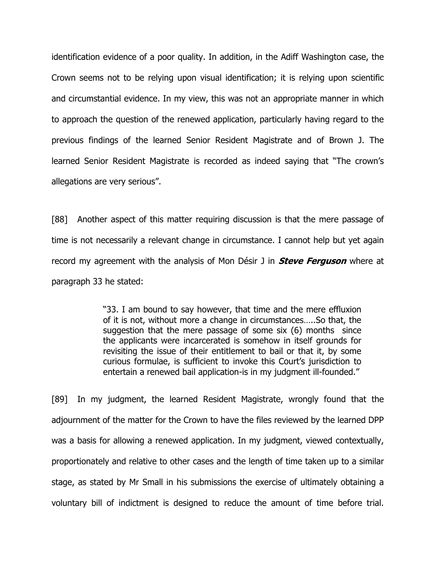identification evidence of a poor quality. In addition, in the Adiff Washington case, the Crown seems not to be relying upon visual identification; it is relying upon scientific and circumstantial evidence. In my view, this was not an appropriate manner in which to approach the question of the renewed application, particularly having regard to the previous findings of the learned Senior Resident Magistrate and of Brown J. The learned Senior Resident Magistrate is recorded as indeed saying that "The crown's allegations are very serious".

[88] Another aspect of this matter requiring discussion is that the mere passage of time is not necessarily a relevant change in circumstance. I cannot help but yet again record my agreement with the analysis of Mon Désir J in **Steve Ferguson** where at paragraph 33 he stated:

> "33. I am bound to say however, that time and the mere effluxion of it is not, without more a change in circumstances…..So that, the suggestion that the mere passage of some six (6) months since the applicants were incarcerated is somehow in itself grounds for revisiting the issue of their entitlement to bail or that it, by some curious formulae, is sufficient to invoke this Court's jurisdiction to entertain a renewed bail application-is in my judgment ill-founded."

[89] In my judgment, the learned Resident Magistrate, wrongly found that the adjournment of the matter for the Crown to have the files reviewed by the learned DPP was a basis for allowing a renewed application. In my judgment, viewed contextually, proportionately and relative to other cases and the length of time taken up to a similar stage, as stated by Mr Small in his submissions the exercise of ultimately obtaining a voluntary bill of indictment is designed to reduce the amount of time before trial.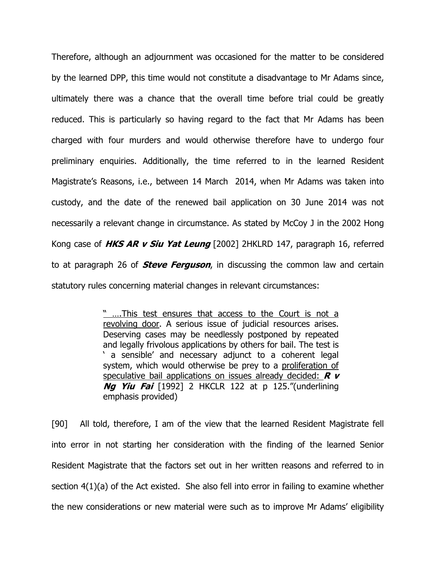Therefore, although an adjournment was occasioned for the matter to be considered by the learned DPP, this time would not constitute a disadvantage to Mr Adams since, ultimately there was a chance that the overall time before trial could be greatly reduced. This is particularly so having regard to the fact that Mr Adams has been charged with four murders and would otherwise therefore have to undergo four preliminary enquiries. Additionally, the time referred to in the learned Resident Magistrate's Reasons, i.e., between 14 March 2014, when Mr Adams was taken into custody, and the date of the renewed bail application on 30 June 2014 was not necessarily a relevant change in circumstance. As stated by McCoy J in the 2002 Hong Kong case of HKS AR v Siu Yat Leung [2002] 2HKLRD 147, paragraph 16, referred to at paragraph 26 of **Steve Ferguson**, in discussing the common law and certain statutory rules concerning material changes in relevant circumstances:

> " ....This test ensures that access to the Court is not a revolving door. A serious issue of judicial resources arises. Deserving cases may be needlessly postponed by repeated and legally frivolous applications by others for bail. The test is ' a sensible' and necessary adjunct to a coherent legal system, which would otherwise be prey to a proliferation of speculative bail applications on issues already decided:  $\boldsymbol{R}$   $\boldsymbol{v}$ Ng Yiu Fai [1992] 2 HKCLR 122 at p 125."(underlining emphasis provided)

[90] All told, therefore, I am of the view that the learned Resident Magistrate fell into error in not starting her consideration with the finding of the learned Senior Resident Magistrate that the factors set out in her written reasons and referred to in section 4(1)(a) of the Act existed. She also fell into error in failing to examine whether the new considerations or new material were such as to improve Mr Adams' eligibility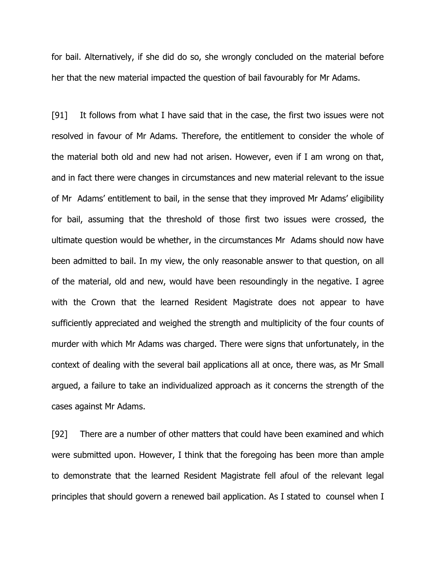for bail. Alternatively, if she did do so, she wrongly concluded on the material before her that the new material impacted the question of bail favourably for Mr Adams.

[91] It follows from what I have said that in the case, the first two issues were not resolved in favour of Mr Adams. Therefore, the entitlement to consider the whole of the material both old and new had not arisen. However, even if I am wrong on that, and in fact there were changes in circumstances and new material relevant to the issue of Mr Adams' entitlement to bail, in the sense that they improved Mr Adams' eligibility for bail, assuming that the threshold of those first two issues were crossed, the ultimate question would be whether, in the circumstances Mr Adams should now have been admitted to bail. In my view, the only reasonable answer to that question, on all of the material, old and new, would have been resoundingly in the negative. I agree with the Crown that the learned Resident Magistrate does not appear to have sufficiently appreciated and weighed the strength and multiplicity of the four counts of murder with which Mr Adams was charged. There were signs that unfortunately, in the context of dealing with the several bail applications all at once, there was, as Mr Small argued, a failure to take an individualized approach as it concerns the strength of the cases against Mr Adams.

[92] There are a number of other matters that could have been examined and which were submitted upon. However, I think that the foregoing has been more than ample to demonstrate that the learned Resident Magistrate fell afoul of the relevant legal principles that should govern a renewed bail application. As I stated to counsel when I